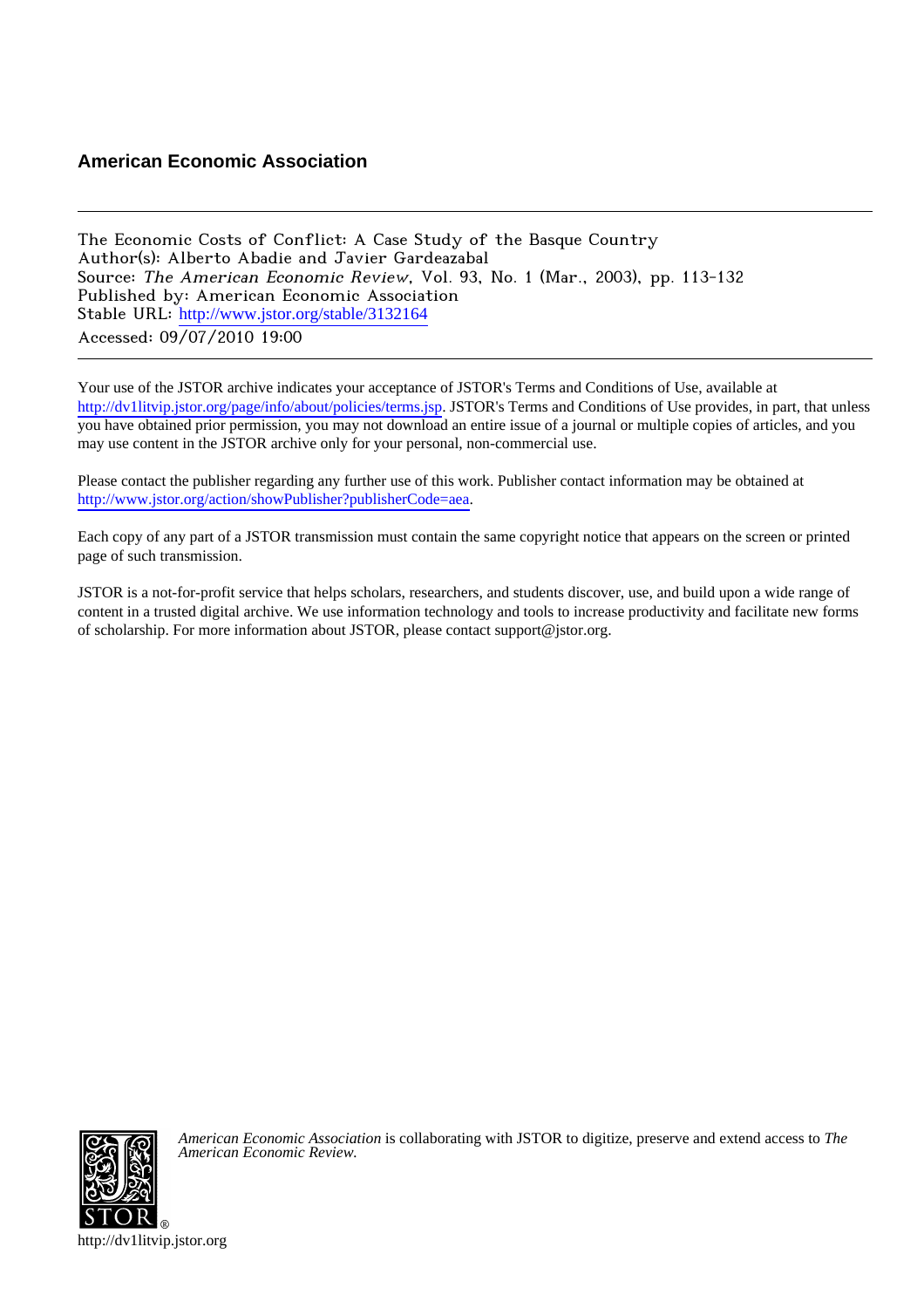## **American Economic Association**

The Economic Costs of Conflict: A Case Study of the Basque Country Author(s): Alberto Abadie and Javier Gardeazabal Source: The American Economic Review, Vol. 93, No. 1 (Mar., 2003), pp. 113-132 Published by: American Economic Association Stable URL: [http://www.jstor.org/stable/3132164](http://www.jstor.org/stable/3132164?origin=JSTOR-pdf) Accessed: 09/07/2010 19:00

Your use of the JSTOR archive indicates your acceptance of JSTOR's Terms and Conditions of Use, available at [http://dv1litvip.jstor.org/page/info/about/policies/terms.jsp.](http://dv1litvip.jstor.org/page/info/about/policies/terms.jsp) JSTOR's Terms and Conditions of Use provides, in part, that unless you have obtained prior permission, you may not download an entire issue of a journal or multiple copies of articles, and you may use content in the JSTOR archive only for your personal, non-commercial use.

Please contact the publisher regarding any further use of this work. Publisher contact information may be obtained at <http://www.jstor.org/action/showPublisher?publisherCode=aea>.

Each copy of any part of a JSTOR transmission must contain the same copyright notice that appears on the screen or printed page of such transmission.

JSTOR is a not-for-profit service that helps scholars, researchers, and students discover, use, and build upon a wide range of content in a trusted digital archive. We use information technology and tools to increase productivity and facilitate new forms of scholarship. For more information about JSTOR, please contact support@jstor.org.



*American Economic Association* is collaborating with JSTOR to digitize, preserve and extend access to *The American Economic Review.*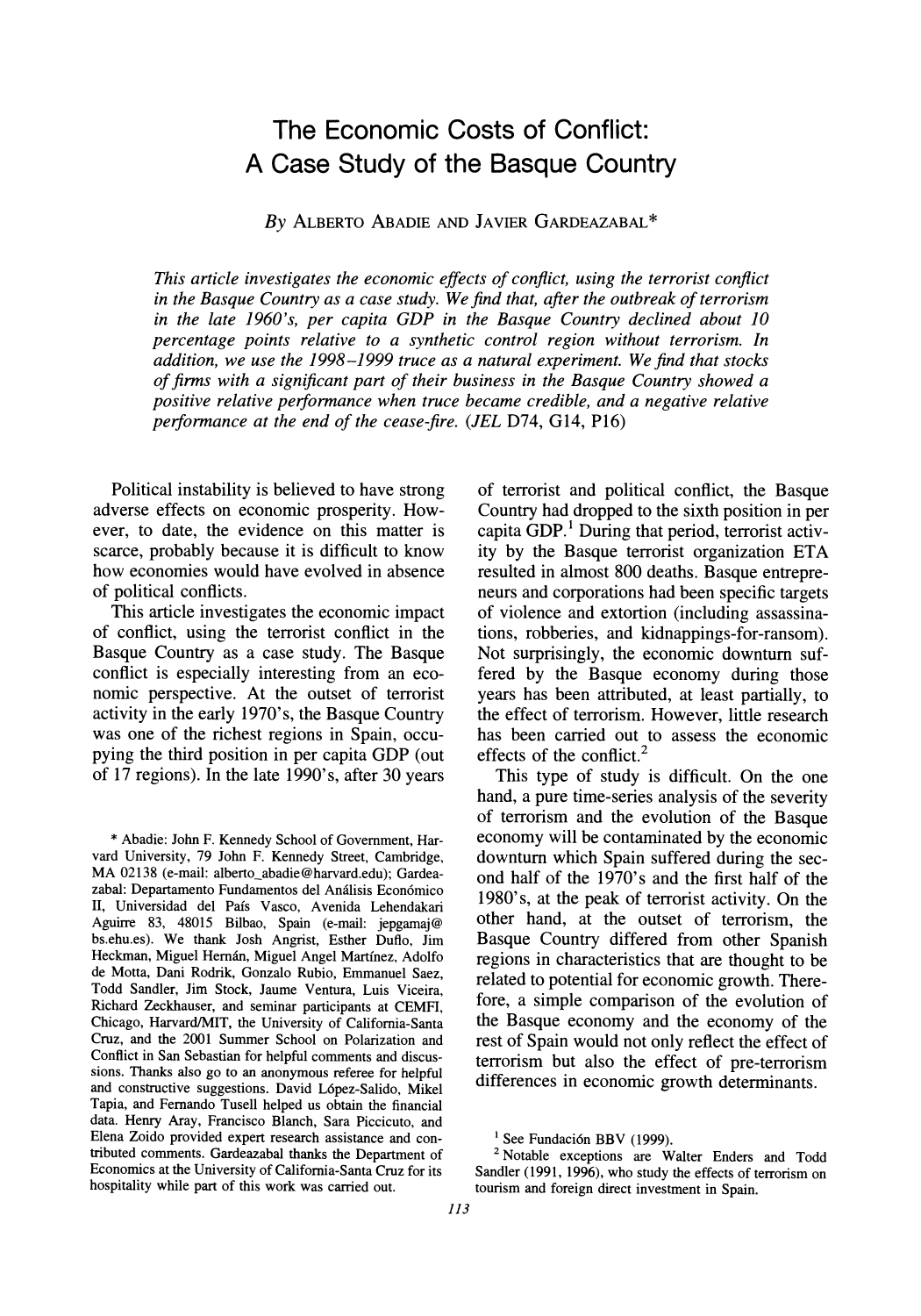# **The Economic Costs of Conflict: A Case Study of the Basque Country**

**By ALBERTO ABADIE AND JAVIER GARDEAZABAL\*** 

**This article investigates the economic effects of conflict, using the terrorist conflict in the Basque Country as a case study. We find that, after the outbreak of terrorism in the late 1960's, per capita GDP in the Basque Country declined about 10 percentage points relative to a synthetic control region without terrorism. In addition, we use the 1998-1999 truce as a natural experiment. We find that stocks of firms with a significant part of their business in the Basque Country showed a positive relative performance when truce became credible, and a negative relative performance at the end of the cease-fire. (JEL D74, G14, P16)** 

**Political instability is believed to have strong adverse effects on economic prosperity. However, to date, the evidence on this matter is scarce, probably because it is difficult to know how economies would have evolved in absence of political conflicts.** 

**This article investigates the economic impact of conflict, using the terrorist conflict in the Basque Country as a case study. The Basque conflict is especially interesting from an economic perspective. At the outset of terrorist activity in the early 1970's, the Basque Country was one of the richest regions in Spain, occupying the third position in per capita GDP (out of 17 regions). In the late 1990's, after 30 years** 

**\* Abadie: John F. Kennedy School of Government, Harvard University, 79 John F. Kennedy Street, Cambridge, MA 02138 (e-mail: alberto abadie@harvard.edu); Gardeazabal: Departamento Fundamentos del Analisis Econ6mico II, Universidad del Pafs Vasco, Avenida Lehendakari Aguirre 83, 48015 Bilbao, Spain (e-mail: jepgamaj@ bs.ehu.es). We thank Josh Angrist, Esther Duflo, Jim**  Heckman, Miguel Hernán, Miguel Angel Martínez, Adolfo **de Motta, Dani Rodrik, Gonzalo Rubio, Emmanuel Saez, Todd Sandler, Jim Stock, Jaume Ventura, Luis Viceira, Richard Zeckhauser, and seminar participants at CEMFI, Chicago, Harvard/MIT, the University of California-Santa Cruz, and the 2001 Summer School on Polarization and Conflict in San Sebastian for helpful comments and discussions. Thanks also go to an anonymous referee for helpful and constructive suggestions. David L6pez-Salido, Mikel Tapia, and Fernando Tusell helped us obtain the financial data. Henry Aray, Francisco Blanch, Sara Piccicuto, and Elena Zoido provided expert research assistance and contributed comments. Gardeazabal thanks the Department of Economics at the University of California-Santa Cruz for its hospitality while part of this work was carried out.** 

**of terrorist and political conflict, the Basque Country had dropped to the sixth position in per capita GDP.1 During that period, terrorist activity by the Basque terrorist organization ETA resulted in almost 800 deaths. Basque entrepreneurs and corporations had been specific targets of violence and extortion (including assassinations, robberies, and kidnappings-for-ransom). Not surprisingly, the economic downturn suffered by the Basque economy during those years has been attributed, at least partially, to the effect of terrorism. However, little research has been carried out to assess the economic effects of the conflict.2** 

**This type of study is difficult. On the one hand, a pure time-series analysis of the severity of terrorism and the evolution of the Basque economy will be contaminated by the economic downturn which Spain suffered during the second half of the 1970's and the first half of the 1980's, at the peak of terrorist activity. On the other hand, at the outset of terrorism, the Basque Country differed from other Spanish regions in characteristics that are thought to be related to potential for economic growth. Therefore, a simple comparison of the evolution of the Basque economy and the economy of the rest of Spain would not only reflect the effect of terrorism but also the effect of pre-terrorism differences in economic growth determinants.** 

**<sup>1</sup> See Fundaci6n BBV (1999).** 

**<sup>2</sup>Notable exceptions are Walter Enders and Todd Sandler (1991, 1996), who study the effects of terrorism on tourism and foreign direct investment in Spain.**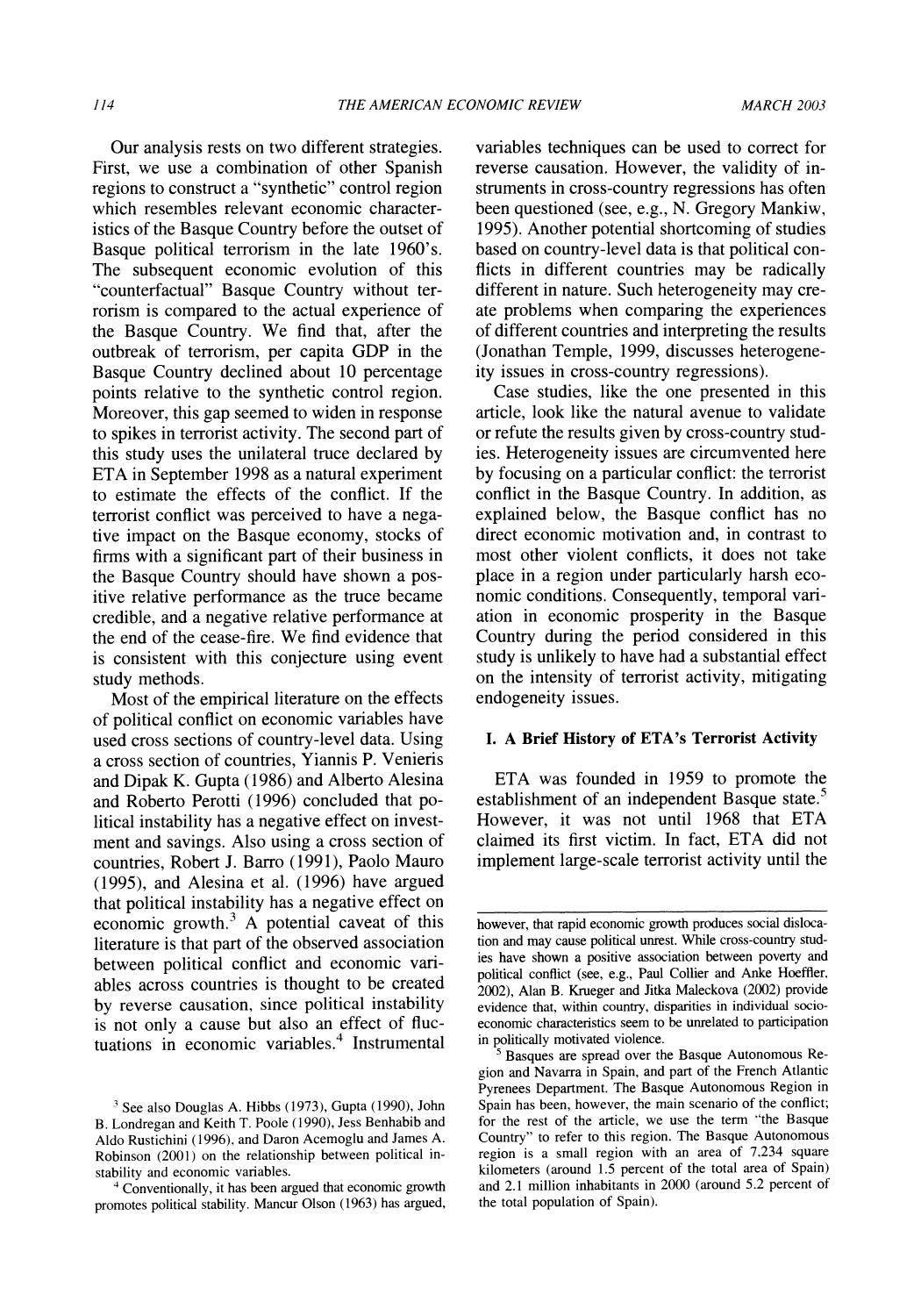**Our analysis rests on two different strategies. First, we use a combination of other Spanish regions to construct a "synthetic" control region which resembles relevant economic characteristics of the Basque Country before the outset of Basque political terrorism in the late 1960's. The subsequent economic evolution of this "counterfactual" Basque Country without terrorism is compared to the actual experience of the Basque Country. We find that, after the outbreak of terrorism, per capita GDP in the Basque Country declined about 10 percentage points relative to the synthetic control region. Moreover, this gap seemed to widen in response to spikes in terrorist activity. The second part of this study uses the unilateral truce declared by ETA in September 1998 as a natural experiment to estimate the effects of the conflict. If the terrorist conflict was perceived to have a negative impact on the Basque economy, stocks of firms with a significant part of their business in the Basque Country should have shown a positive relative performance as the truce became credible, and a negative relative performance at the end of the cease-fire. We find evidence that is consistent with this conjecture using event study methods.** 

**Most of the empirical literature on the effects of political conflict on economic variables have used cross sections of country-level data. Using a cross section of countries, Yiannis P. Venieris and Dipak K. Gupta (1986) and Alberto Alesina and Roberto Perotti (1996) concluded that political instability has a negative effect on investment and savings. Also using a cross section of countries, Robert J. Barro (1991), Paolo Mauro (1995), and Alesina et al. (1996) have argued that political instability has a negative effect on economic growth.3 A potential caveat of this literature is that part of the observed association between political conflict and economic variables across countries is thought to be created by reverse causation, since political instability is not only a cause but also an effect of fluctuations in economic variables.4 Instrumental**  **variables techniques can be used to correct for reverse causation. However, the validity of instruments in cross-country regressions has often been questioned (see, e.g., N. Gregory Mankiw, 1995). Another potential shortcoming of studies based on country-level data is that political conflicts in different countries may be radically different in nature. Such heterogeneity may create problems when comparing the experiences of different countries and interpreting the results (Jonathan Temple, 1999, discusses heterogeneity issues in cross-country regressions).** 

**Case studies, like the one presented in this article, look like the natural avenue to validate or refute the results given by cross-country studies. Heterogeneity issues are circumvented here by focusing on a particular conflict: the terrorist conflict in the Basque Country. In addition, as explained below, the Basque conflict has no direct economic motivation and, in contrast to most other violent conflicts, it does not take place in a region under particularly harsh economic conditions. Consequently, temporal variation in economic prosperity in the Basque Country during the period considered in this study is unlikely to have had a substantial effect on the intensity of terrorist activity, mitigating endogeneity issues.** 

## **I. A Brief History of ETA's Terrorist Activity**

**ETA was founded in 1959 to promote the establishment of an independent Basque state.5 However, it was not until 1968 that ETA claimed its first victim. In fact, ETA did not implement large-scale terrorist activity until the** 

**<sup>3</sup>See also Douglas A. Hibbs (1973), Gupta (1990), John B. Londregan and Keith T. Poole (1990), Jess Benhabib and Aldo Rustichini (1996), and Daron Acemoglu and James A. Robinson (2001) on the relationship between political instability and economic variables.** 

**<sup>4</sup> Conventionally, it has been argued that economic growth promotes political stability. Mancur Olson (1963) has argued,** 

**however, that rapid economic growth produces social dislocation and may cause political unrest. While cross-country studies have shown a positive association between poverty and political conflict (see, e.g., Paul Collier and Anke Hoeffler, 2002), Alan B. Krueger and Jitka Maleckova (2002) provide evidence that, within country, disparities in individual socioeconomic characteristics seem to be unrelated to participation in politically motivated violence.** 

**<sup>5</sup>Basques are spread over the Basque Autonomous Region and Navarra in Spain, and part of the French Atlantic Pyrenees Department. The Basque Autonomous Region in Spain has been, however, the main scenario of the conflict; for the rest of the article, we use the term "the Basque Country" to refer to this region. The Basque Autonomous region is a small region with an area of 7,234 square kilometers (around 1.5 percent of the total area of Spain) and 2.1 million inhabitants in 2000 (around 5.2 percent of the total population of Spain).**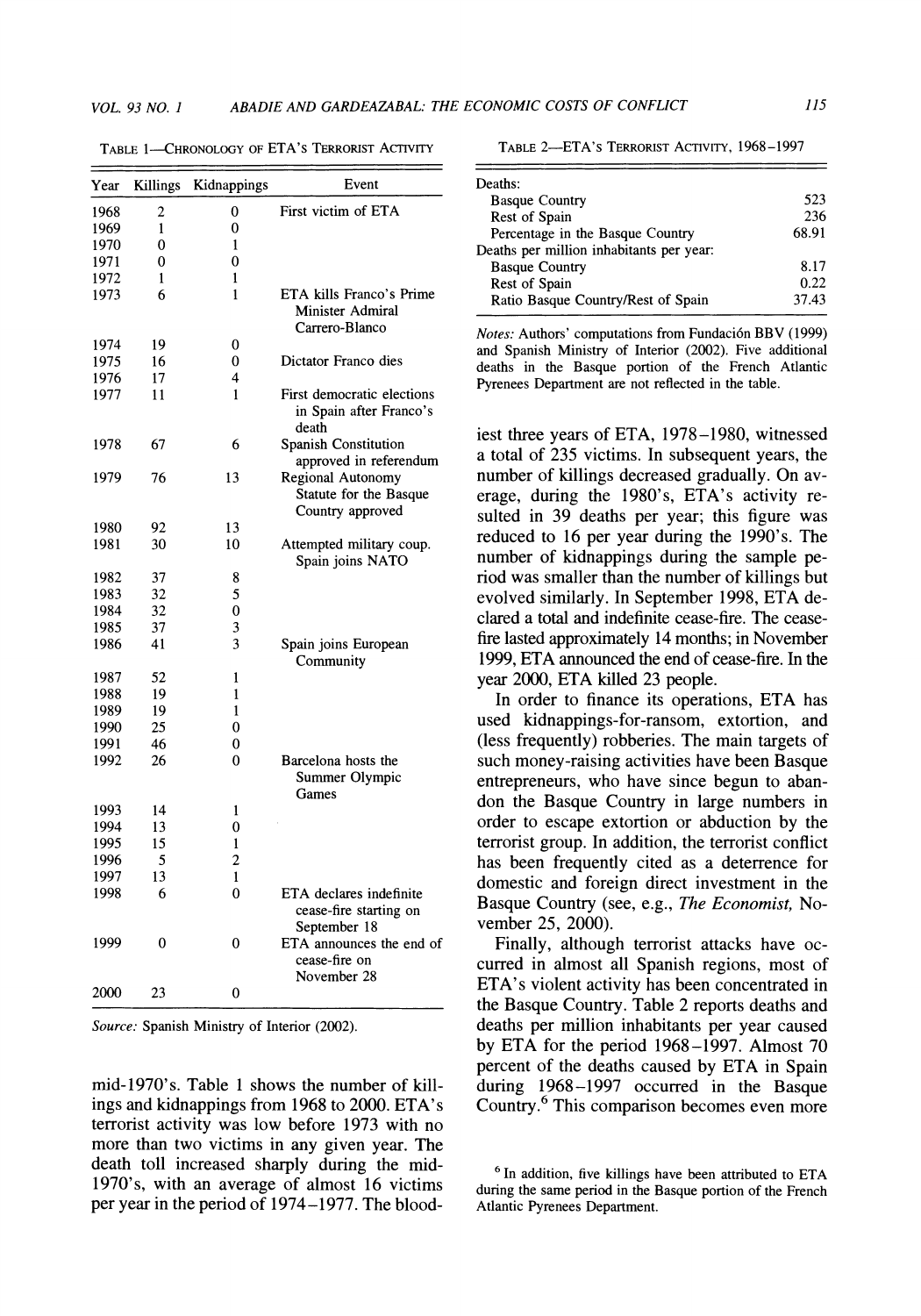| Year | Killings       | Kidnappings    | Event                                                             |
|------|----------------|----------------|-------------------------------------------------------------------|
| 1968 | 2              | 0              | First victim of ETA                                               |
| 1969 | 1              | 0              |                                                                   |
| 1970 | 0              | 1              |                                                                   |
| 1971 | $\overline{0}$ | 0              |                                                                   |
| 1972 | 1              | 1              |                                                                   |
| 1973 | 6              | 1              | ETA kills Franco's Prime<br>Minister Admiral<br>Carrero-Blanco    |
| 1974 | 19             | 0              |                                                                   |
| 1975 | 16             | 0              | Dictator Franco dies                                              |
| 1976 | 17             | 4              |                                                                   |
| 1977 | 11             | 1              | First democratic elections<br>in Spain after Franco's<br>death    |
| 1978 | 67             | 6              | Spanish Constitution<br>approved in referendum                    |
| 1979 | 76             | 13             | Regional Autonomy<br>Statute for the Basque<br>Country approved   |
| 1980 | 92             | 13             |                                                                   |
| 1981 | 30             | 10             | Attempted military coup.<br>Spain joins NATO                      |
| 1982 | 37             | 8              |                                                                   |
| 1983 | 32             | 5              |                                                                   |
| 1984 | 32             | 0              |                                                                   |
| 1985 | 37             | 3              |                                                                   |
| 1986 | 41             | 3              | Spain joins European<br>Community                                 |
| 1987 | 52             | 1              |                                                                   |
| 1988 | 19             | 1              |                                                                   |
| 1989 | 19             | 1              |                                                                   |
| 1990 | 25             | 0              |                                                                   |
| 1991 | 46             | 0              |                                                                   |
| 1992 | 26             | 0              | Barcelona hosts the<br>Summer Olympic<br>Games                    |
| 1993 | 14             | 1              |                                                                   |
| 1994 | 13             | 0              |                                                                   |
| 1995 | 15             | 1              |                                                                   |
| 1996 | 5              | 2              |                                                                   |
| 1997 | 13             | 1              |                                                                   |
| 1998 | 6              | 0              | ETA declares indefinite<br>cease-fire starting on<br>September 18 |
| 1999 | 0              | 0              | ETA announces the end of<br>cease-fire on<br>November 28          |
| 2000 | 23             | $\overline{0}$ |                                                                   |

**TABLE 1-CHRONOLOGY OF ETA's TERRORIST ACTIVITY** 

**TABLE 2-ETA's TERRORIST ACTIVITY, 1968-1997** 

| Deaths:                                  |       |
|------------------------------------------|-------|
| <b>Basque Country</b>                    | 523   |
| Rest of Spain                            | 236   |
| Percentage in the Basque Country         | 68.91 |
| Deaths per million inhabitants per year: |       |
| <b>Basque Country</b>                    | 8.17  |
| Rest of Spain                            | 0.22  |
| Ratio Basque Country/Rest of Spain       | 37.43 |
|                                          |       |

**Notes: Authors' computations from Fundaci6n BBV (1999) and Spanish Ministry of Interior (2002). Five additional deaths in the Basque portion of the French Atlantic Pyrenees Department are not reflected in the table.** 

**iest three years of ETA, 1978-1980, witnessed a total of 235 victims. In subsequent years, the number of killings decreased gradually. On average, during the 1980's, ETA's activity resulted in 39 deaths per year; this figure was reduced to 16 per year during the 1990's. The number of kidnappings during the sample period was smaller than the number of killings but evolved similarly. In September 1998, ETA declared a total and indefinite cease-fire. The ceasefire lasted approximately 14 months; in November 1999, ETA announced the end of cease-fire. In the year 2000, ETA killed 23 people.** 

**In order to finance its operations, ETA has used kidnappings-for-ransom, extortion, and (less frequently) robberies. The main targets of such money-raising activities have been Basque entrepreneurs, who have since begun to abandon the Basque Country in large numbers in order to escape extortion or abduction by the terrorist group. In addition, the terrorist conflict has been frequently cited as a deterrence for domestic and foreign direct investment in the Basque Country (see, e.g., The Economist, November 25, 2000).** 

**Finally, although terrorist attacks have occurred in almost all Spanish regions, most of ETA's violent activity has been concentrated in the Basque Country. Table 2 reports deaths and deaths per million inhabitants per year caused by ETA for the period 1968-1997. Almost 70 percent of the deaths caused by ETA in Spain during 1968-1997 occurred in the Basque Country.6 This comparison becomes even more** 

**mid-1970's. Table 1 shows the number of killings and kidnappings from 1968 to 2000. ETA's terrorist activity was low before 1973 with no more than two victims in any given year. The death toll increased sharply during the mid-1970's, with an average of almost 16 victims per year in the period of 1974-1977. The blood-**

**Source: Spanish Ministry of Interior (2002).** 

**<sup>6</sup> In addition, five killings have been attributed to ETA during the same period in the Basque portion of the French Atlantic Pyrenees Department.**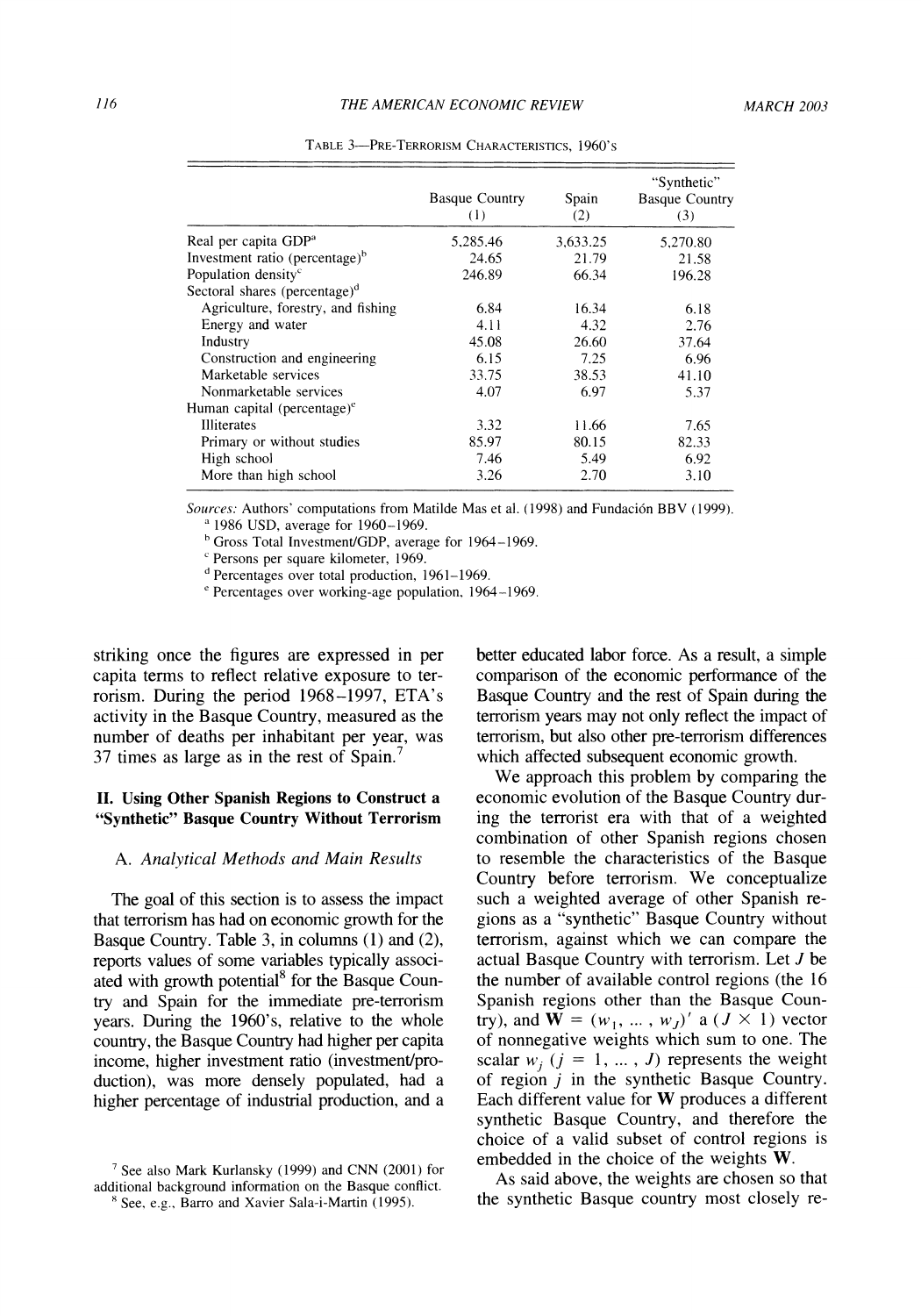|                                            | <b>Basque Country</b><br>(1) | Spain<br>(2) | "Synthetic"<br><b>Basque Country</b><br>(3) |
|--------------------------------------------|------------------------------|--------------|---------------------------------------------|
| Real per capita GDP <sup>a</sup>           | 5.285.46                     | 3.633.25     | 5,270.80                                    |
| Investment ratio (percentage) <sup>b</sup> | 24.65                        | 21.79        | 21.58                                       |
| Population density <sup>c</sup>            | 246.89                       | 66.34        | 196.28                                      |
| Sectoral shares (percentage) $d$           |                              |              |                                             |
| Agriculture, forestry, and fishing         | 6.84                         | 16.34        | 6.18                                        |
| Energy and water                           | 4.11                         | 4.32         | 2.76                                        |
| Industry                                   | 45.08                        | 26.60        | 37.64                                       |
| Construction and engineering               | 6.15                         | 7.25         | 6.96                                        |
| Marketable services                        | 33.75                        | 38.53        | 41.10                                       |
| Nonmarketable services                     | 4.07                         | 6.97         | 5.37                                        |
| Human capital (percentage) <sup>e</sup>    |                              |              |                                             |
| <b>Illiterates</b>                         | 3.32                         | 11.66        | 7.65                                        |
| Primary or without studies                 | 85.97                        | 80.15        | 82.33                                       |
| High school                                | 7.46                         | 5.49         | 6.92                                        |
| More than high school                      | 3.26                         | 2.70         | 3.10                                        |

**TABLE 3-PRE-TERRORISM CHARACTERISTICS, 1960's** 

Sources: Authors' computations from Matilde Mas et al. (1998) and Fundación BBV (1999).

**<sup>a</sup>1986 USD, average for 1960-1969.** 

**<sup>b</sup>Gross Total Investment/GDP, average for 1964-1969.** 

**c Persons per square kilometer, 1969.** 

**<sup>d</sup>Percentages over total production, 1961-1969.** 

**e Percentages over working-age population, 1964-1969.** 

**striking once the figures are expressed in per capita terms to reflect relative exposure to terrorism. During the period 1968-1997, ETA's activity in the Basque Country, measured as the number of deaths per inhabitant per year, was 37 times as large as in the rest of Spain.7** 

## **II. Using Other Spanish Regions to Construct a "Synthetic" Basque Country Without Terrorism**

### **A. Analytical Methods and Main Results**

**The goal of this section is to assess the impact that terrorism has had on economic growth for the Basque Country. Table 3, in columns (1) and (2), reports values of some variables typically associ**ated with growth potential<sup>8</sup> for the Basque Coun**try and Spain for the immediate pre-terrorism years. During the 1960's, relative to the whole country, the Basque Country had higher per capita income, higher investment ratio (investment/production), was more densely populated, had a higher percentage of industrial production, and a**  **better educated labor force. As a result, a simple comparison of the economic performance of the Basque Country and the rest of Spain during the terrorism years may not only reflect the impact of terrorism, but also other pre-terrorism differences which affected subsequent economic growth.** 

**We approach this problem by comparing the economic evolution of the Basque Country during the terrorist era with that of a weighted combination of other Spanish regions chosen to resemble the characteristics of the Basque Country before terrorism. We conceptualize such a weighted average of other Spanish regions as a "synthetic" Basque Country without terrorism, against which we can compare the actual Basque Country with terrorism. Let J be the number of available control regions (the 16 Spanish regions other than the Basque Coun**try), and  $\mathbf{W} = (w_1, \dots, w_J)'$  a  $(J \times 1)$  vector **of nonnegative weights which sum to one. The**  scalar  $w_i$  ( $j = 1, ..., J$ ) represents the weight **of region j in the synthetic Basque Country. Each different value for W produces a different synthetic Basque Country, and therefore the choice of a valid subset of control regions is embedded in the choice of the weights W.** 

**As said above, the weights are chosen so that the synthetic Basque country most closely re-**

**<sup>7</sup>See also Mark Kurlansky (1999) and CNN (2001) for additional background information on the Basque conflict.** 

**<sup>8</sup>See, e.g., Barro and Xavier Sala-i-Martin (1995).**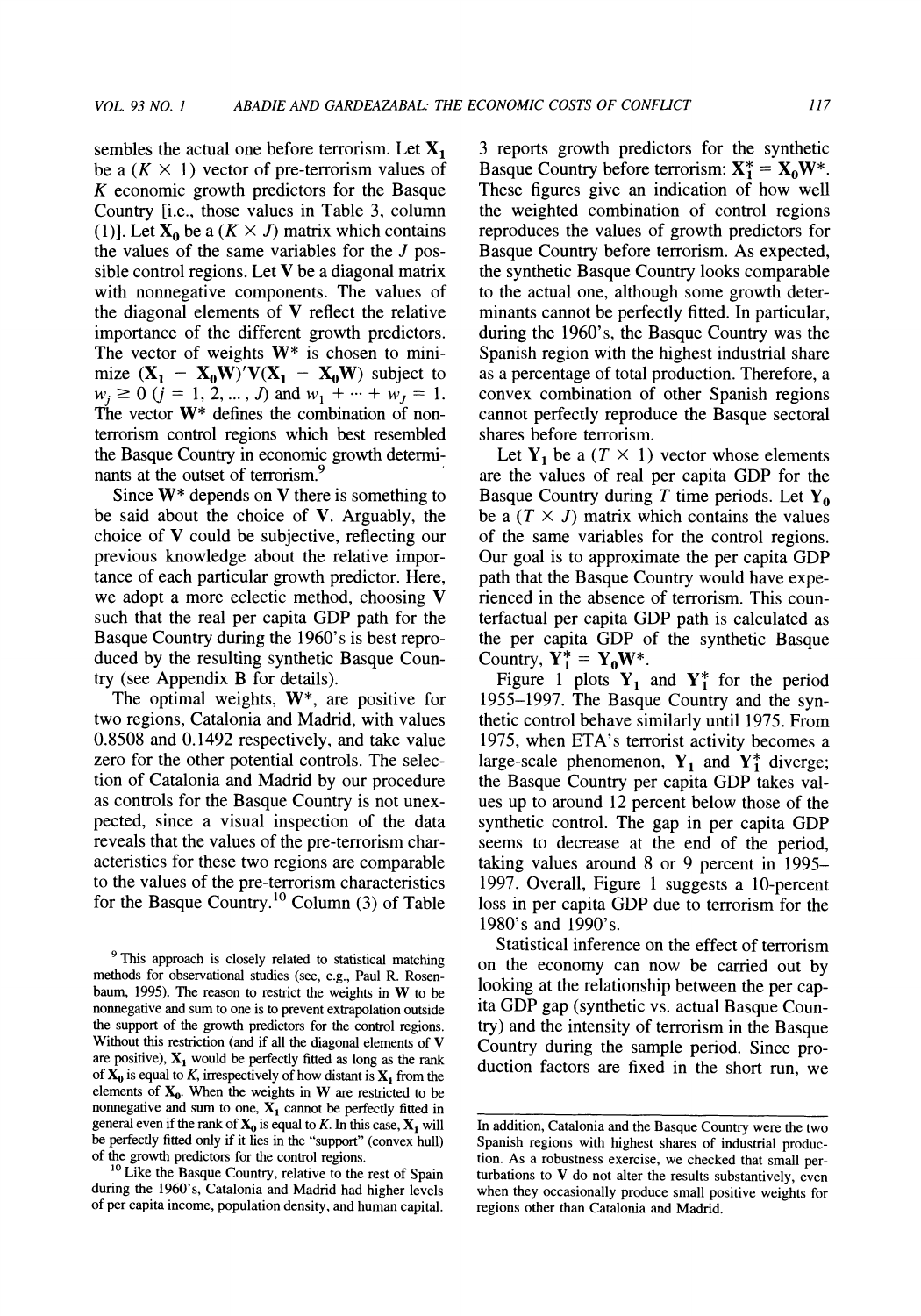sembles the actual one before terrorism. Let  $X_1$ be a  $(K \times 1)$  vector of pre-terrorism values of **K economic growth predictors for the Basque Country [i.e., those values in Table 3, column**  (1)]. Let  $X_0$  be a  $(K \times J)$  matrix which contains **the values of the same variables for the J possible control regions. Let V be a diagonal matrix with nonnegative components. The values of the diagonal elements of V reflect the relative importance of the different growth predictors. The vector of weights W\* is chosen to mini**mize  $(X_1 - X_0 W)'V(X_1 - X_0 W)$  subject to  $w_i \ge 0$   $(i = 1, 2, ..., J)$  and  $w_1 + \cdots + w_J = 1$ . **The vector W\* defines the combination of nonterrorism control regions which best resembled the Basque Country in economic growth determinants at the outset of terrorism.9** 

**Since W\* depends on V there is something to be said about the choice of V. Arguably, the choice of V could be subjective, reflecting our previous knowledge about the relative importance of each particular growth predictor. Here, we adopt a more eclectic method, choosing V such that the real per capita GDP path for the Basque Country during the 1960's is best reproduced by the resulting synthetic Basque Country (see Appendix B for details).** 

**The optimal weights, W\*, are positive for two regions, Catalonia and Madrid, with values 0.8508 and 0.1492 respectively, and take value zero for the other potential controls. The selection of Catalonia and Madrid by our procedure as controls for the Basque Country is not unexpected, since a visual inspection of the data reveals that the values of the pre-terrorism characteristics for these two regions are comparable to the values of the pre-terrorism characteristics for the Basque Country.10 Column (3) of Table** 

**<sup>10</sup>Like the Basque Country, relative to the rest of Spain during the 1960's, Catalonia and Madrid had higher levels of per capita income, population density, and human capital.**  **3 reports growth predictors for the synthetic Basque Country before terrorism:**  $X_1^* = X_0 W^*$ . **These figures give an indication of how well the weighted combination of control regions reproduces the values of growth predictors for Basque Country before terrorism. As expected, the synthetic Basque Country looks comparable to the actual one, although some growth determinants cannot be perfectly fitted. In particular, during the 1960's, the Basque Country was the Spanish region with the highest industrial share as a percentage of total production. Therefore, a convex combination of other Spanish regions cannot perfectly reproduce the Basque sectoral shares before terrorism.** 

Let  $Y_1$  be a ( $T \times 1$ ) vector whose elements **are the values of real per capita GDP for the**  Basque Country during T time periods. Let Y<sub>0</sub> be a  $(T \times J)$  matrix which contains the values **of the same variables for the control regions. Our goal is to approximate the per capita GDP path that the Basque Country would have experienced in the absence of terrorism. This counterfactual per capita GDP path is calculated as the per capita GDP of the synthetic Basque**  Country,  $Y_1^* = Y_0 W^*$ .

Figure 1 plots  $Y_1$  and  $Y_1^*$  for the period **1955-1997. The Basque Country and the synthetic control behave similarly until 1975. From 1975, when ETA's terrorist activity becomes a**  large-scale phenomenon,  $Y_1$  and  $Y_1^*$  diverge; **the Basque Country per capita GDP takes values up to around 12 percent below those of the synthetic control. The gap in per capita GDP seems to decrease at the end of the period, taking values around 8 or 9 percent in 1995- 1997. Overall, Figure 1 suggests a 10-percent loss in per capita GDP due to terrorism for the 1980's and 1990's.** 

**Statistical inference on the effect of terrorism on the economy can now be carried out by looking at the relationship between the per capita GDP gap (synthetic vs. actual Basque Country) and the intensity of terrorism in the Basque Country during the sample period. Since production factors are fixed in the short run, we** 

**<sup>9</sup> This approach is closely related to statistical matching methods for observational studies (see, e.g., Paul R. Rosenbaum, 1995). The reason to restrict the weights in W to be nonnegative and sum to one is to prevent extrapolation outside the support of the growth predictors for the control regions. Without this restriction (and if all the diagonal elements of V**  are positive),  $X_1$  would be perfectly fitted as long as the rank of  $X_0$  is equal to K, irrespectively of how distant is  $X_1$  from the elements of  $X_0$ . When the weights in W are restricted to be nonnegative and sum to one,  $X_1$  cannot be perfectly fitted in general even if the rank of  $X_0$  is equal to K. In this case,  $X_1$  will **be perfectly fitted only if it lies in the "support" (convex hull) of the growth predictors for the control regions.** 

**In addition, Catalonia and the Basque Country were the two Spanish regions with highest shares of industrial production. As a robustness exercise, we checked that small perturbations to V do not alter the results substantively, even when they occasionally produce small positive weights for regions other than Catalonia and Madrid.**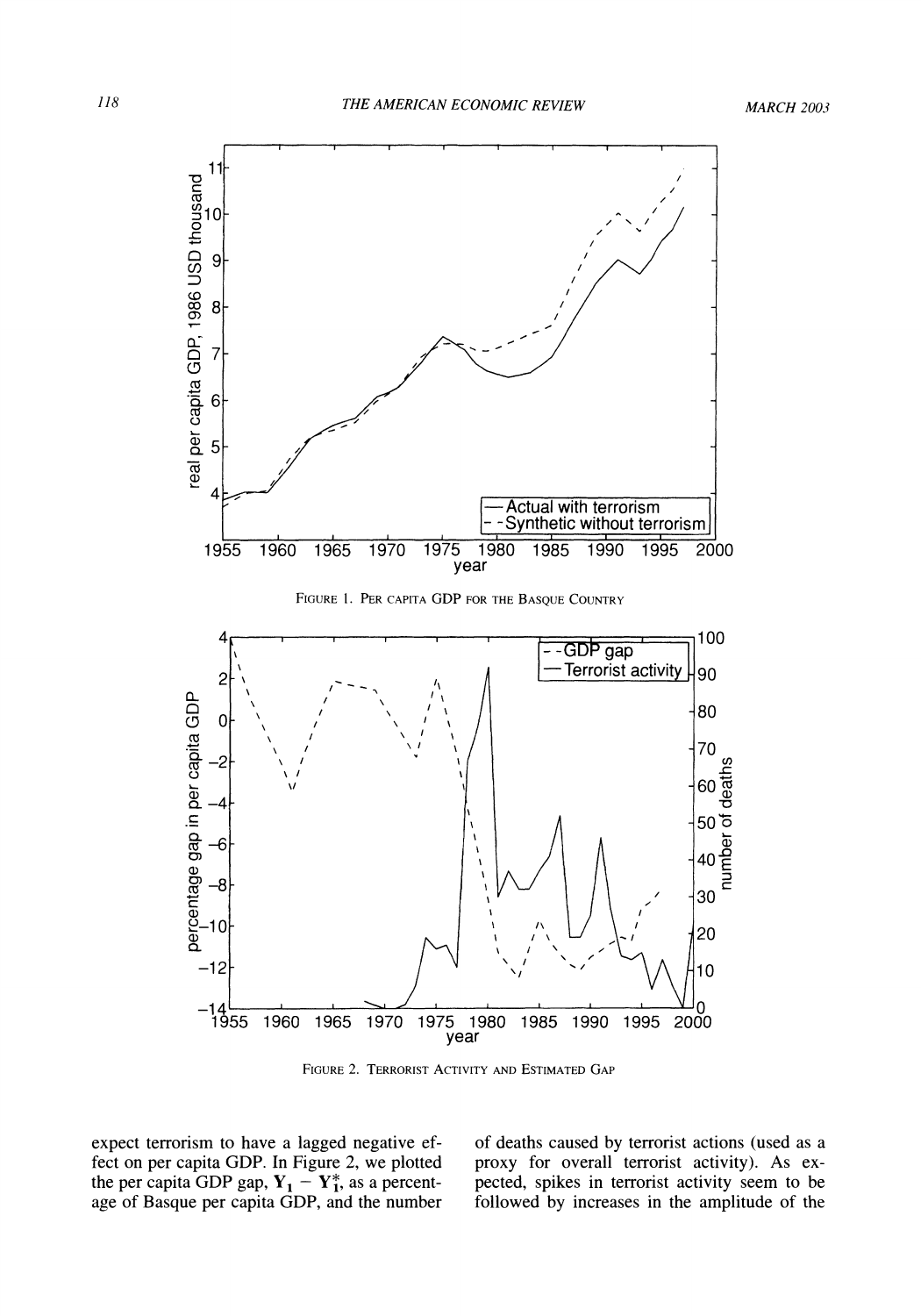

**FIGURE 2. TERRORIST ACTIVITY AND ESTIMATED GAP** 

expect terrorism to have a lagged negative ef-<br>for deaths caused by terrorist actions (used as a<br>fect on per capita GDP. In Figure 2, we plotted proxy for overall terrorist activity). As ex**age of Basque per capita GDP, and the number followed by increases in the amplitude of the** 

fect on per capita GDP. In Figure 2, we plotted proxy for overall terrorist activity). As ex-<br>the per capita GDP gap,  $Y_1 - Y_1^*$ , as a percent-<br>pected, spikes in terrorist activity seem to be the per capita GDP gap,  $Y_1 - Y_1^*$ , as a percent- pected, spikes in terrorist activity seem to be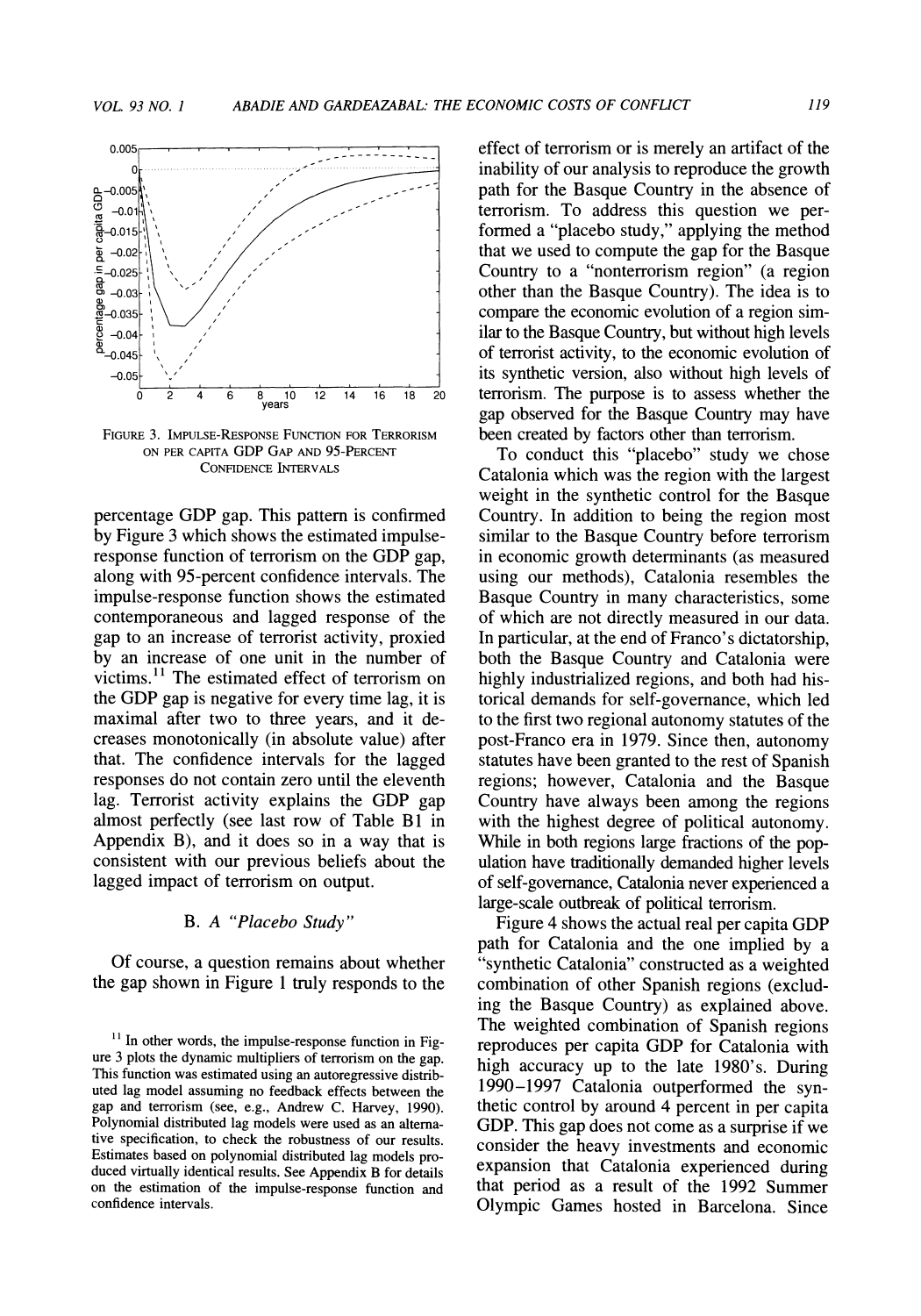

**FIGURE 3. IMPULSE-RESPONSE FUNCTION FOR TERRORISM ON PER CAPITA GDP GAP AND 95-PERCENT CONFIDENCE INTERVALS** 

**percentage GDP gap. This pattern is confirmed by Figure 3 which shows the estimated impulseresponse function of terrorism on the GDP gap, along with 95-percent confidence intervals. The impulse-response function shows the estimated contemporaneous and lagged response of the gap to an increase of terrorist activity, proxied by an increase of one unit in the number of victims." The estimated effect of terrorism on the GDP gap is negative for every time lag, it is maximal after two to three years, and it decreases monotonically (in absolute value) after that. The confidence intervals for the lagged responses do not contain zero until the eleventh lag. Terrorist activity explains the GDP gap almost perfectly (see last row of Table B1 in Appendix B), and it does so in a way that is consistent with our previous beliefs about the lagged impact of terrorism on output.** 

## **B. A "Placebo Study"**

**Of course, a question remains about whether the gap shown in Figure 1 truly responds to the**  **effect of terrorism or is merely an artifact of the inability of our analysis to reproduce the growth path for the Basque Country in the absence of terrorism. To address this question we performed a "placebo study," applying the method that we used to compute the gap for the Basque Country to a "nonterrorism region" (a region other than the Basque Country). The idea is to compare the economic evolution of a region similar to the Basque Country, but without high levels of terrorist activity, to the economic evolution of its synthetic version, also without high levels of terrorism. The purpose is to assess whether the gap observed for the Basque Country may have been created by factors other than terrorism.** 

**To conduct this "placebo" study we chose Catalonia which was the region with the largest weight in the synthetic control for the Basque Country. In addition to being the region most similar to the Basque Country before terrorism in economic growth determinants (as measured using our methods), Catalonia resembles the Basque Country in many characteristics, some of which are not directly measured in our data.**  In particular, at the end of Franco's dictatorship, **both the Basque Country and Catalonia were highly industrialized regions, and both had historical demands for self-governance, which led to the first two regional autonomy statutes of the post-Franco era in 1979. Since then, autonomy statutes have been granted to the rest of Spanish regions; however, Catalonia and the Basque Country have always been among the regions with the highest degree of political autonomy. While in both regions large fractions of the population have traditionally demanded higher levels of self-governance, Catalonia never experienced a large-scale outbreak of political terrorism.** 

**Figure 4 shows the actual real per capita GDP path for Catalonia and the one implied by a "synthetic Catalonia" constructed as a weighted combination of other Spanish regions (excluding the Basque Country) as explained above. The weighted combination of Spanish regions reproduces per capita GDP for Catalonia with high accuracy up to the late 1980's. During 1990-1997 Catalonia outperformed the synthetic control by around 4 percent in per capita GDP. This gap does not come as a surprise if we consider the heavy investments and economic expansion that Catalonia experienced during that period as a result of the 1992 Summer Olympic Games hosted in Barcelona. Since** 

<sup>&</sup>lt;sup>11</sup> In other words, the impulse-response function in Fig**ure 3 plots the dynamic multipliers of terrorism on the gap. This function was estimated using an autoregressive distributed lag model assuming no feedback effects between the gap and terrorism (see, e.g., Andrew C. Harvey, 1990). Polynomial distributed lag models were used as an alternative specification, to check the robustness of our results. Estimates based on polynomial distributed lag models produced virtually identical results. See Appendix B for details on the estimation of the impulse-response function and confidence intervals.**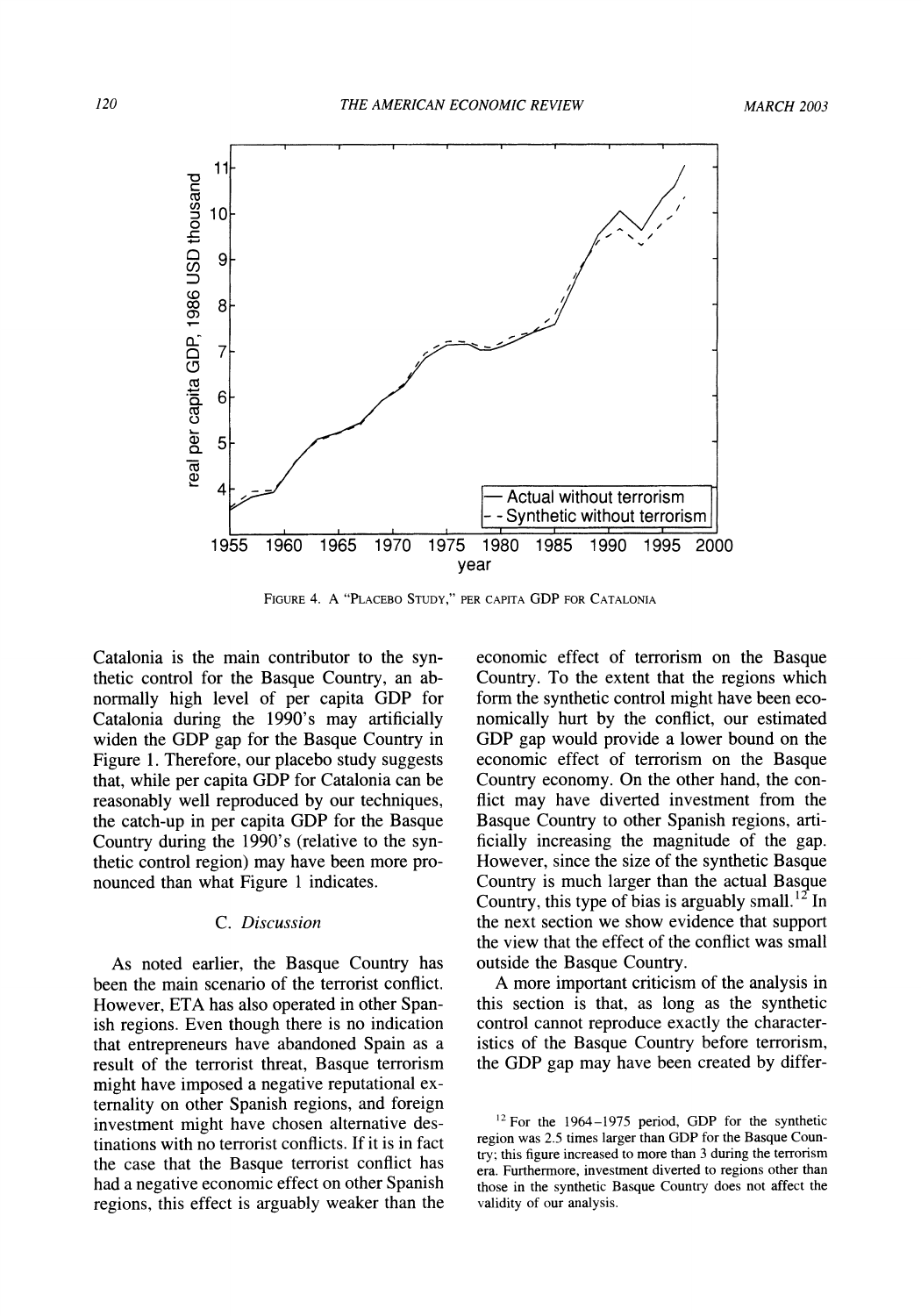

**FIGURE 4. A "PLACEBO STUDY," PER CAPITA GDP FOR CATALONIA** 

**Catalonia is the main contributor to the synthetic control for the Basque Country, an abnormally high level of per capita GDP for Catalonia during the 1990's may artificially widen the GDP gap for the Basque Country in Figure 1. Therefore, our placebo study suggests that, while per capita GDP for Catalonia can be reasonably well reproduced by our techniques, the catch-up in per capita GDP for the Basque Country during the 1990's (relative to the synthetic control region) may have been more pronounced than what Figure 1 indicates.** 

#### **C. Discussion**

**As noted earlier, the Basque Country has been the main scenario of the terrorist conflict. However, ETA has also operated in other Spanish regions. Even though there is no indication that entrepreneurs have abandoned Spain as a result of the terrorist threat, Basque terrorism might have imposed a negative reputational externality on other Spanish regions, and foreign investment might have chosen alternative destinations with no terrorist conflicts. If it is in fact the case that the Basque terrorist conflict has had a negative economic effect on other Spanish regions, this effect is arguably weaker than the**  **economic effect of terrorism on the Basque Country. To the extent that the regions which form the synthetic control might have been economically hurt by the conflict, our estimated GDP gap would provide a lower bound on the economic effect of terrorism on the Basque Country economy. On the other hand, the conflict may have diverted investment from the Basque Country to other Spanish regions, artificially increasing the magnitude of the gap. However, since the size of the synthetic Basque Country is much larger than the actual Basque Country, this type of bias is arguably small.12 In the next section we show evidence that support the view that the effect of the conflict was small outside the Basque Country.** 

**A more important criticism of the analysis in this section is that, as long as the synthetic control cannot reproduce exactly the characteristics of the Basque Country before terrorism, the GDP gap may have been created by differ-**

<sup>&</sup>lt;sup>12</sup> For the 1964-1975 period, GDP for the synthetic **region was 2.5 times larger than GDP for the Basque Country; this figure increased to more than 3 during the terrorism era. Furthermore, investment diverted to regions other than those in the synthetic Basque Country does not affect the validity of our analysis.**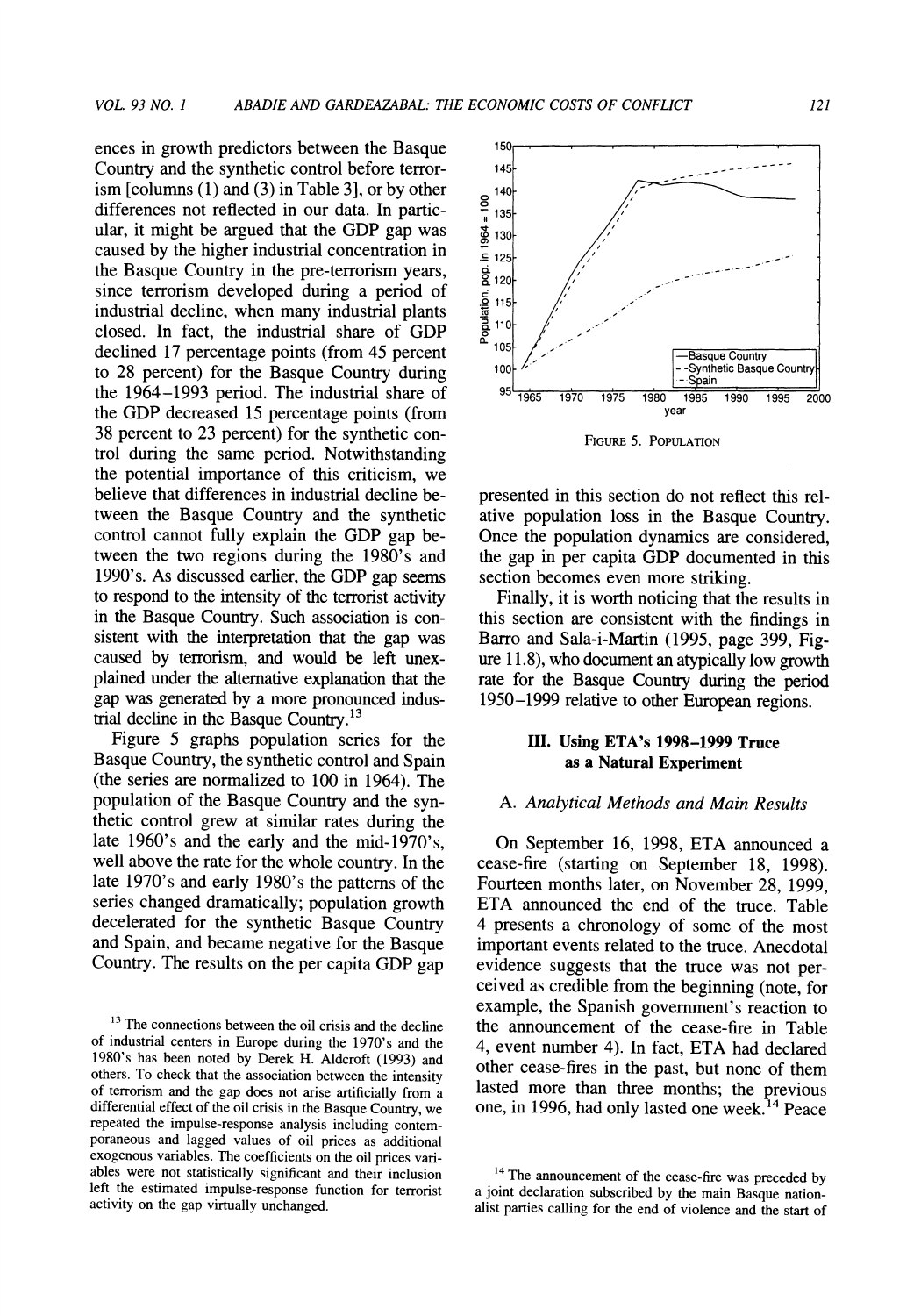**ences in growth predictors between the Basque Country and the synthetic control before terrorism [columns (1) and (3) in Table 3], or by other differences not reflected in our data. In particular, it might be argued that the GDP gap was caused by the higher industrial concentration in the Basque Country in the pre-terrorism years, since terrorism developed during a period of industrial decline, when many industrial plants closed. In fact, the industrial share of GDP declined 17 percentage points (from 45 percent to 28 percent) for the Basque Country during the 1964-1993 period. The industrial share of the GDP decreased 15 percentage points (from 38 percent to 23 percent) for the synthetic control during the same period. Notwithstanding the potential importance of this criticism, we believe that differences in industrial decline between the Basque Country and the synthetic control cannot fully explain the GDP gap between the two regions during the 1980's and 1990's. As discussed earlier, the GDP gap seems to respond to the intensity of the terrorist activity in the Basque Country. Such association is consistent with the interpretation that the gap was caused by terrorism, and would be left unexplained under the alternative explanation that the gap was generated by a more pronounced industrial decline in the Basque Country.13** 

**Figure 5 graphs population series for the Basque Country, the synthetic control and Spain (the series are normalized to 100 in 1964). The population of the Basque Country and the synthetic control grew at similar rates during the late 1960's and the early and the mid-1970's, well above the rate for the whole country. In the late 1970's and early 1980's the patterns of the series changed dramatically; population growth decelerated for the synthetic Basque Country and Spain, and became negative for the Basque Country. The results on the per capita GDP gap** 



**FIGURE 5. POPULATION** 

**presented in this section do not reflect this relative population loss in the Basque Country. Once the population dynamics are considered, the gap in per capita GDP documented in this section becomes even more striking.** 

**Finally, it is worth noticing that the results in this section are consistent with the findings in Barro and Sala-i-Martin (1995, page 399, Figure 11.8), who document an atypically low growth rate for the Basque Country during the period 1950-1999 relative to other European regions.** 

## **III. Using ETA's 1998-1999 Truce as a Natural Experiment**

## **A. Analytical Methods and Main Results**

**On September 16, 1998, ETA announced a cease-fire (starting on September 18, 1998). Fourteen months later, on November 28, 1999, ETA announced the end of the truce. Table 4 presents a chronology of some of the most important events related to the truce. Anecdotal evidence suggests that the truce was not perceived as credible from the beginning (note, for example, the Spanish government's reaction to the announcement of the cease-fire in Table 4, event number 4). In fact, ETA had declared other cease-fires in the past, but none of them lasted more than three months; the previous one, in 1996, had only lasted one week.14 Peace** 

**<sup>13</sup>The connections between the oil crisis and the decline of industrial centers in Europe during the 1970's and the 1980's has been noted by Derek H. Aldcroft (1993) and others. To check that the association between the intensity of terrorism and the gap does not arise artificially from a differential effect of the oil crisis in the Basque Country, we repeated the impulse-response analysis including contemporaneous and lagged values of oil prices as additional exogenous variables. The coefficients on the oil prices variables were not statistically significant and their inclusion left the estimated impulse-response function for terrorist activity on the gap virtually unchanged.** 

**<sup>14</sup>The announcement of the cease-fire was preceded by a joint declaration subscribed by the main Basque nationalist parties calling for the end of violence and the start of**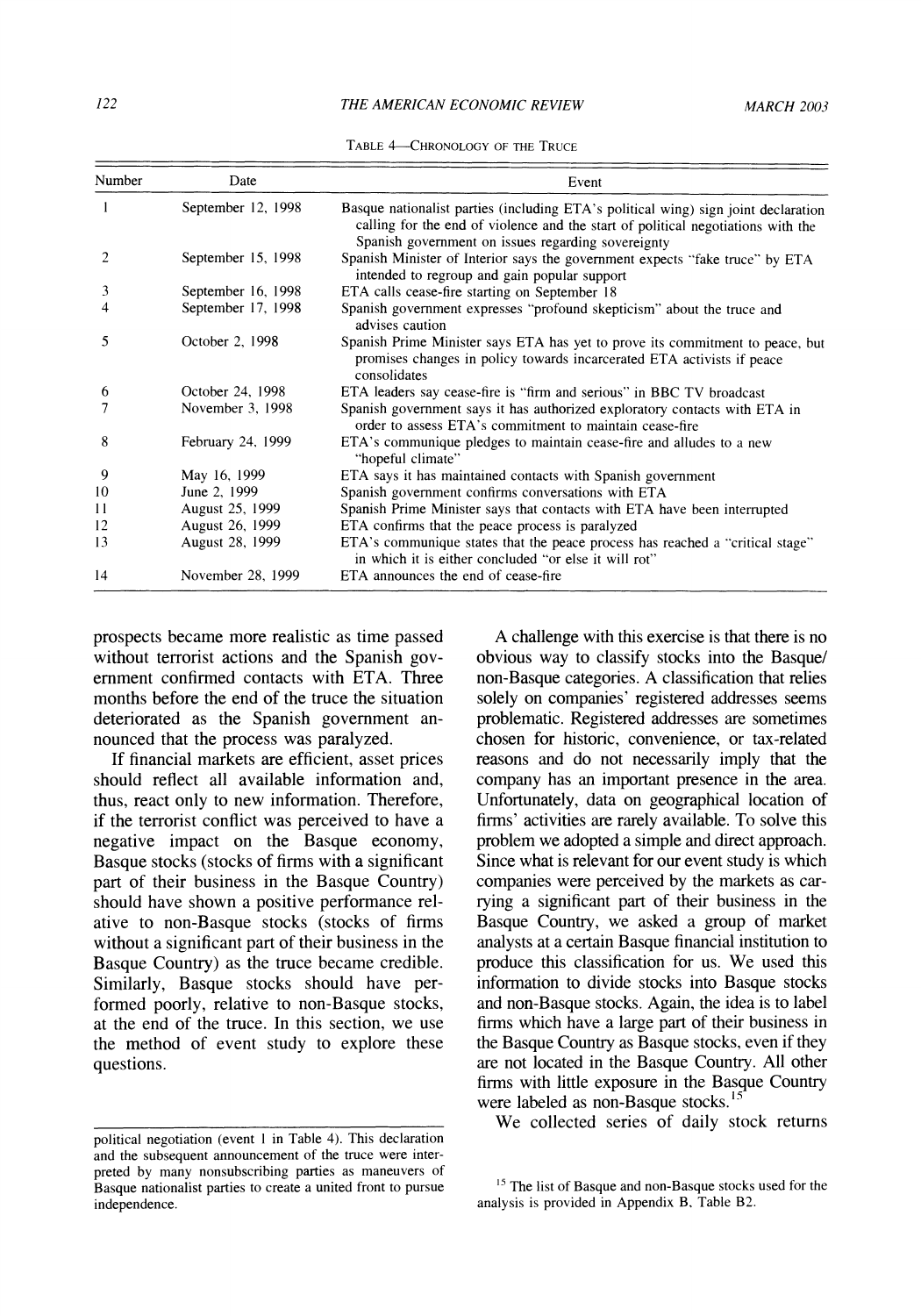| Number         | Date               | Event                                                                                                                                                                                                                        |
|----------------|--------------------|------------------------------------------------------------------------------------------------------------------------------------------------------------------------------------------------------------------------------|
|                | September 12, 1998 | Basque nationalist parties (including ETA's political wing) sign joint declaration<br>calling for the end of violence and the start of political negotiations with the<br>Spanish government on issues regarding sovereignty |
| $\overline{2}$ | September 15, 1998 | Spanish Minister of Interior says the government expects "fake truce" by ETA<br>intended to regroup and gain popular support                                                                                                 |
| 3              | September 16, 1998 | ETA calls cease-fire starting on September 18                                                                                                                                                                                |
| 4              | September 17, 1998 | Spanish government expresses "profound skepticism" about the truce and<br>advises caution                                                                                                                                    |
| 5              | October 2, 1998    | Spanish Prime Minister says ETA has yet to prove its commitment to peace, but<br>promises changes in policy towards incarcerated ETA activists if peace<br>consolidates                                                      |
| 6              | October 24, 1998   | ETA leaders say cease-fire is "firm and serious" in BBC TV broadcast                                                                                                                                                         |
|                | November 3, 1998   | Spanish government says it has authorized exploratory contacts with ETA in<br>order to assess ETA's commitment to maintain cease-fire                                                                                        |
| 8              | February 24, 1999  | ETA's communique pledges to maintain cease-fire and alludes to a new<br>"hopeful climate"                                                                                                                                    |
| 9              | May 16, 1999       | ETA says it has maintained contacts with Spanish government                                                                                                                                                                  |
| 10             | June 2, 1999       | Spanish government confirms conversations with ETA                                                                                                                                                                           |
| 11             | August 25, 1999    | Spanish Prime Minister says that contacts with ETA have been interrupted                                                                                                                                                     |
| 12             | August 26, 1999    | ETA confirms that the peace process is paralyzed                                                                                                                                                                             |
| 13             | August 28, 1999    | ETA's communique states that the peace process has reached a "critical stage"<br>in which it is either concluded "or else it will rot"                                                                                       |
| 14             | November 28, 1999  | ETA announces the end of cease-fire                                                                                                                                                                                          |

**TABLE 4-CHRONOLOGY OF THE TRUCE** 

**prospects became more realistic as time passed without terrorist actions and the Spanish government confirmed contacts with ETA. Three months before the end of the truce the situation deteriorated as the Spanish government announced that the process was paralyzed.** 

**If financial markets are efficient, asset prices should reflect all available information and, thus, react only to new information. Therefore, if the terrorist conflict was perceived to have a negative impact on the Basque economy, Basque stocks (stocks of firms with a significant part of their business in the Basque Country) should have shown a positive performance relative to non-Basque stocks (stocks of firms without a significant part of their business in the Basque Country) as the truce became credible. Similarly, Basque stocks should have performed poorly, relative to non-Basque stocks, at the end of the truce. In this section, we use the method of event study to explore these questions.** 

**A challenge with this exercise is that there is no obvious way to classify stocks into the Basque/ non-Basque categories. A classification that relies solely on companies' registered addresses seems problematic. Registered addresses are sometimes chosen for historic, convenience, or tax-related reasons and do not necessarily imply that the company has an important presence in the area. Unfortunately, data on geographical location of firms' activities are rarely available. To solve this problem we adopted a simple and direct approach. Since what is relevant for our event study is which companies were perceived by the markets as carrying a significant part of their business in the Basque Country, we asked a group of market analysts at a certain Basque financial institution to produce this classification for us. We used this information to divide stocks into Basque stocks and non-Basque stocks. Again, the idea is to label firms which have a large part of their business in the Basque Country as Basque stocks, even if they are not located in the Basque Country. All other firms with little exposure in the Basque Country were labeled as non-Basque stocks.15** 

**We collected series of daily stock returns** 

**political negotiation (event 1 in Table 4). This declaration and the subsequent announcement of the truce were interpreted by many nonsubscribing parties as maneuvers of Basque nationalist parties to create a united front to pursue independence.** 

**<sup>15</sup>The list of Basque and non-Basque stocks used for the analysis is provided in Appendix B, Table B2.**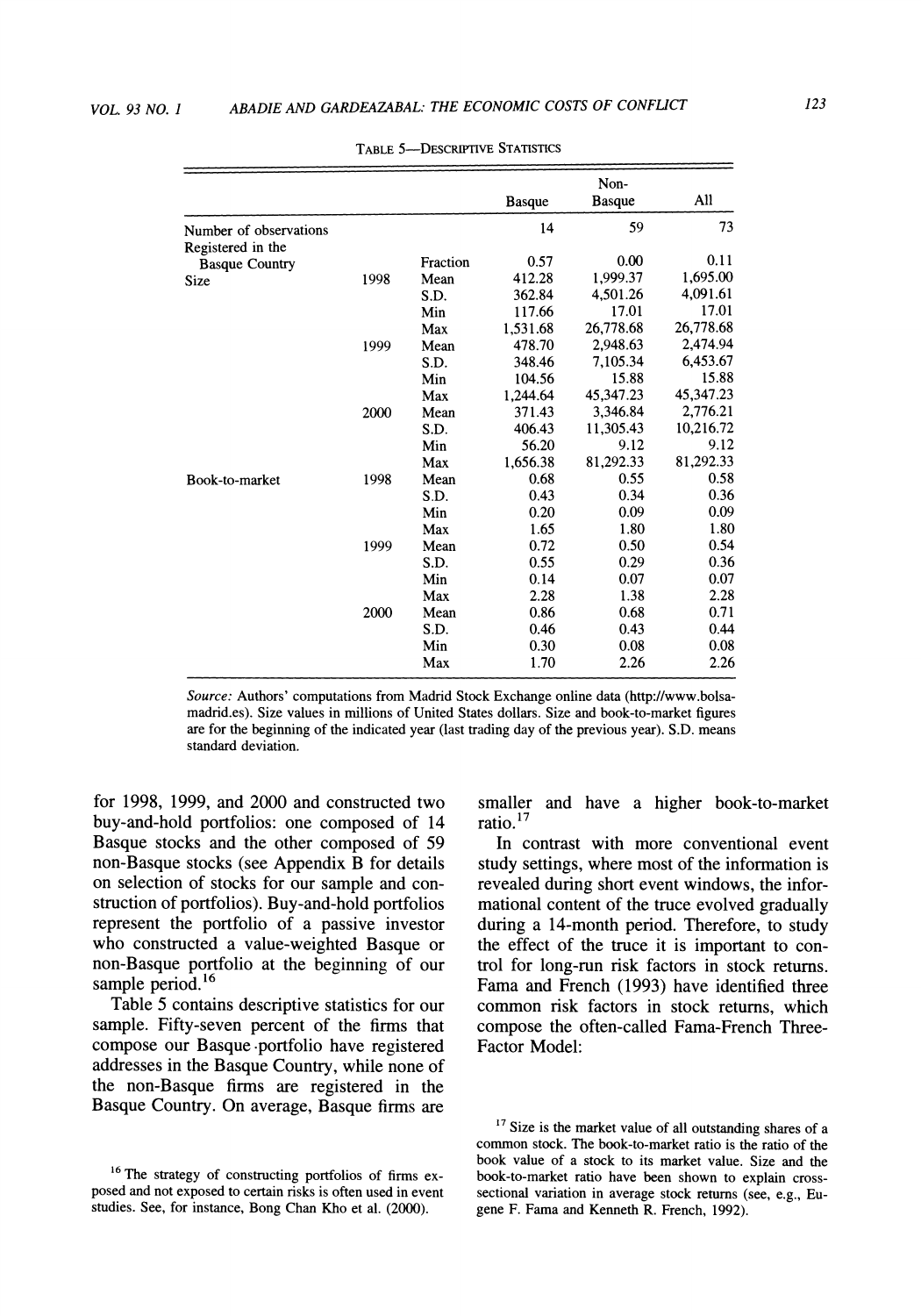|      |                                      |                                                                                                                                                  | Non-                                                                                                                                                    |                                                                                                                                                                              |
|------|--------------------------------------|--------------------------------------------------------------------------------------------------------------------------------------------------|---------------------------------------------------------------------------------------------------------------------------------------------------------|------------------------------------------------------------------------------------------------------------------------------------------------------------------------------|
|      |                                      | <b>Basque</b>                                                                                                                                    | <b>Basque</b>                                                                                                                                           | All                                                                                                                                                                          |
|      |                                      | 14                                                                                                                                               | 59                                                                                                                                                      | 73                                                                                                                                                                           |
|      |                                      |                                                                                                                                                  |                                                                                                                                                         |                                                                                                                                                                              |
|      |                                      |                                                                                                                                                  |                                                                                                                                                         | 0.11                                                                                                                                                                         |
|      |                                      |                                                                                                                                                  |                                                                                                                                                         | 1,695.00                                                                                                                                                                     |
|      |                                      |                                                                                                                                                  |                                                                                                                                                         | 4.091.61                                                                                                                                                                     |
|      | Min                                  |                                                                                                                                                  |                                                                                                                                                         | 17.01                                                                                                                                                                        |
|      | Max                                  | 1,531.68                                                                                                                                         |                                                                                                                                                         | 26,778.68                                                                                                                                                                    |
| 1999 | Mean                                 | 478.70                                                                                                                                           | 2,948.63                                                                                                                                                | 2.474.94                                                                                                                                                                     |
|      | S.D.                                 | 348.46                                                                                                                                           | 7,105.34                                                                                                                                                | 6,453.67                                                                                                                                                                     |
|      | Min                                  | 104.56                                                                                                                                           | 15.88                                                                                                                                                   | 15.88                                                                                                                                                                        |
|      | Max                                  | 1,244.64                                                                                                                                         | 45,347.23                                                                                                                                               | 45.347.23                                                                                                                                                                    |
|      |                                      | 371.43                                                                                                                                           | 3,346.84                                                                                                                                                | 2,776.21                                                                                                                                                                     |
|      |                                      | 406.43                                                                                                                                           |                                                                                                                                                         | 10,216.72                                                                                                                                                                    |
|      |                                      |                                                                                                                                                  | 9.12                                                                                                                                                    | 9.12                                                                                                                                                                         |
|      |                                      |                                                                                                                                                  |                                                                                                                                                         | 81,292.33                                                                                                                                                                    |
|      |                                      |                                                                                                                                                  |                                                                                                                                                         | 0.58                                                                                                                                                                         |
|      |                                      |                                                                                                                                                  |                                                                                                                                                         | 0.36                                                                                                                                                                         |
|      |                                      |                                                                                                                                                  |                                                                                                                                                         | 0.09                                                                                                                                                                         |
|      |                                      |                                                                                                                                                  |                                                                                                                                                         | 1.80                                                                                                                                                                         |
|      |                                      |                                                                                                                                                  |                                                                                                                                                         | 0.54                                                                                                                                                                         |
|      |                                      |                                                                                                                                                  |                                                                                                                                                         | 0.36                                                                                                                                                                         |
|      |                                      |                                                                                                                                                  |                                                                                                                                                         | 0.07                                                                                                                                                                         |
|      |                                      |                                                                                                                                                  |                                                                                                                                                         | 2.28                                                                                                                                                                         |
|      |                                      |                                                                                                                                                  |                                                                                                                                                         | 0.71                                                                                                                                                                         |
|      |                                      |                                                                                                                                                  |                                                                                                                                                         | 0.44                                                                                                                                                                         |
|      |                                      |                                                                                                                                                  |                                                                                                                                                         | 0.08                                                                                                                                                                         |
|      |                                      |                                                                                                                                                  |                                                                                                                                                         | 2.26                                                                                                                                                                         |
|      | 1998<br>2000<br>1998<br>1999<br>2000 | Fraction<br>Mean<br>S.D.<br>Mean<br>S.D.<br>Min<br>Max<br>Mean<br>S.D.<br>Min<br>Max<br>Mean<br>S.D.<br>Min<br>Max<br>Mean<br>S.D.<br>Min<br>Max | 0.57<br>412.28<br>362.84<br>117.66<br>56.20<br>1,656.38<br>0.68<br>0.43<br>0.20<br>1.65<br>0.72<br>0.55<br>0.14<br>2.28<br>0.86<br>0.46<br>0.30<br>1.70 | 0.00<br>1.999.37<br>4,501.26<br>17.01<br>26,778.68<br>11,305.43<br>81,292.33<br>0.55<br>0.34<br>0.09<br>1.80<br>0.50<br>0.29<br>0.07<br>1.38<br>0.68<br>0.43<br>0.08<br>2.26 |

**TABLE 5-DESCRIPTIVE STATISTICS** 

**Source: Authors' computations from Madrid Stock Exchange online data (http://www.bolsamadrid.es). Size values in millions of United States dollars. Size and book-to-market figures are for the beginning of the indicated year (last trading day of the previous year). S.D. means standard deviation.** 

**for 1998, 1999, and 2000 and constructed two buy-and-hold portfolios: one composed of 14 Basque stocks and the other composed of 59 non-Basque stocks (see Appendix B for details on selection of stocks for our sample and construction of portfolios). Buy-and-hold portfolios represent the portfolio of a passive investor who constructed a value-weighted Basque or non-Basque portfolio at the beginning of our sample period.16** 

**Table 5 contains descriptive statistics for our sample. Fifty-seven percent of the firms that compose our Basque portfolio have registered addresses in the Basque Country, while none of the non-Basque firms are registered in the Basque Country. On average, Basque firms are** 

**smaller and have a higher book-to-market ratio.17** 

**In contrast with more conventional event study settings, where most of the information is revealed during short event windows, the informational content of the truce evolved gradually during a 14-month period. Therefore, to study the effect of the truce it is important to control for long-run risk factors in stock returns. Fama and French (1993) have identified three common risk factors in stock returns, which compose the often-called Fama-French Three-Factor Model:** 

**<sup>16</sup>The strategy of constructing portfolios of firms exposed and not exposed to certain risks is often used in event studies. See, for instance, Bong Chan Kho et al. (2000).** 

**<sup>17</sup>Size is the market value of all outstanding shares of a common stock. The book-to-market ratio is the ratio of the book value of a stock to its market value. Size and the book-to-market ratio have been shown to explain crosssectional variation in average stock returns (see, e.g., Eugene F. Fama and Kenneth R. French, 1992).**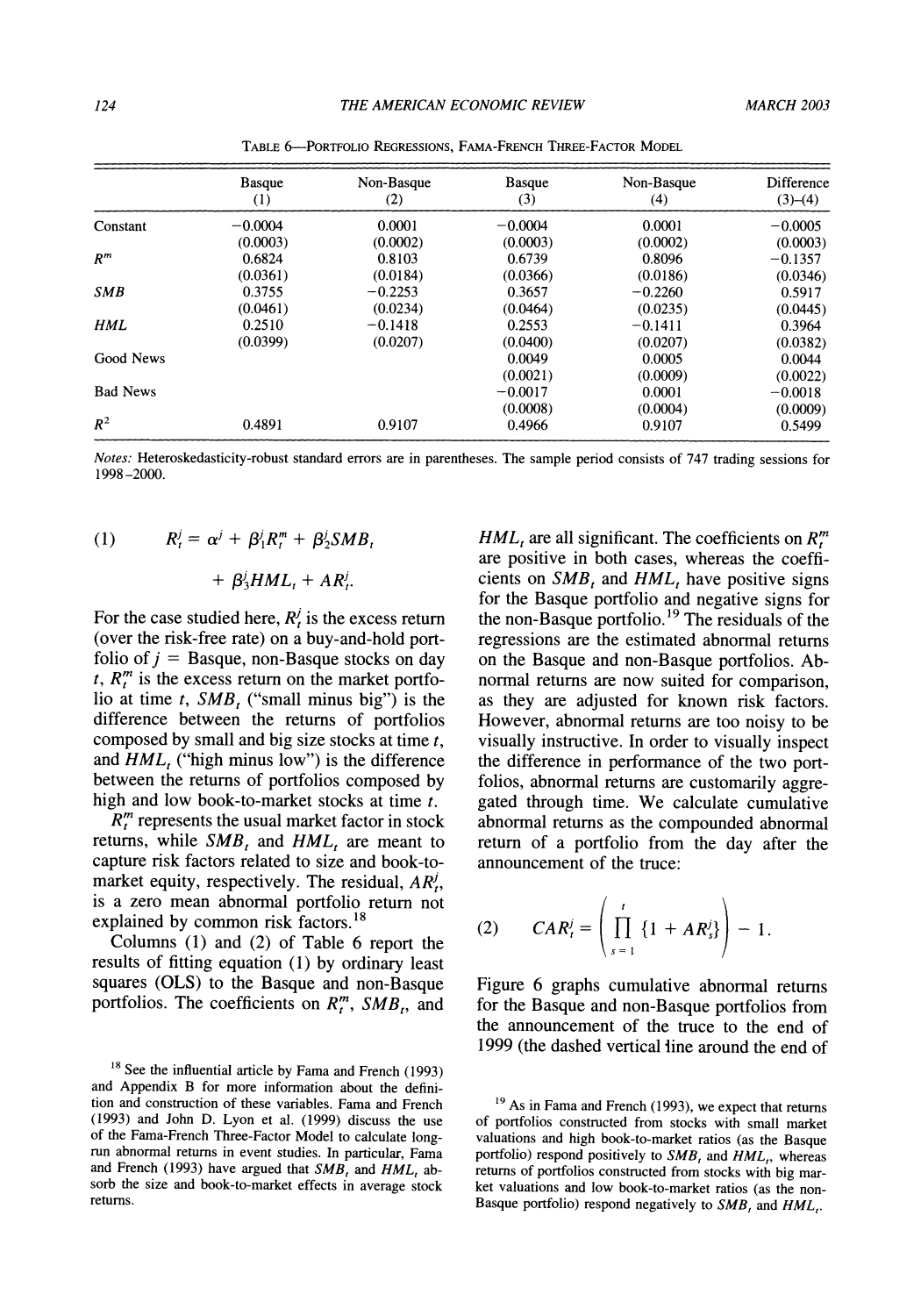|                 | <b>Basque</b><br>(1) | Non-Basque<br>(2) | <b>Basque</b><br>(3) | Non-Basque<br>(4) | Difference<br>$(3)-(4)$ |
|-----------------|----------------------|-------------------|----------------------|-------------------|-------------------------|
| Constant        | $-0.0004$            | 0.0001            | $-0.0004$            | 0.0001            | $-0.0005$               |
|                 | (0.0003)             | (0.0002)          | (0.0003)             | (0.0002)          | (0.0003)                |
| $R^m$           | 0.6824               | 0.8103            | 0.6739               | 0.8096            | $-0.1357$               |
|                 | (0.0361)             | (0.0184)          | (0.0366)             | (0.0186)          | (0.0346)                |
| <b>SMB</b>      | 0.3755               | $-0.2253$         | 0.3657               | $-0.2260$         | 0.5917                  |
|                 | (0.0461)             | (0.0234)          | (0.0464)             | (0.0235)          | (0.0445)                |
| <b>HML</b>      | 0.2510               | $-0.1418$         | 0.2553               | $-0.1411$         | 0.3964                  |
|                 | (0.0399)             | (0.0207)          | (0.0400)             | (0.0207)          | (0.0382)                |
| Good News       |                      |                   | 0.0049               | 0.0005            | 0.0044                  |
|                 |                      |                   | (0.0021)             | (0.0009)          | (0.0022)                |
| <b>Bad News</b> |                      |                   | $-0.0017$            | 0.0001            | $-0.0018$               |
|                 |                      |                   | (0.0008)             | (0.0004)          | (0.0009)                |
| $R^2$           | 0.4891               | 0.9107            | 0.4966               | 0.9107            | 0.5499                  |

TABLE 6-PORTFOLIO REGRESSIONS, FAMA-FRENCH THREE-FACTOR MODEL

**Notes: Heteroskedasticity-robust standard errors are in parentheses. The sample period consists of 747 trading sessions for 1998-2000.** 

(1) 
$$
R'_t = \alpha^j + \beta_1^j R''_t + \beta_2^j SMB_t
$$

$$
+ \beta_3 H M L_t + A R_t^j.
$$

For the case studied here,  $R_t^j$  is the excess return **(over the risk-free rate) on a buy-and-hold port**folio of  $j =$  Basque, non-Basque stocks on day  $t, R_t^m$  is the excess return on the market portfolio at time  $t$ ,  $SMB_t$  ("small minus big") is the **difference between the returns of portfolios composed by small and big size stocks at time t,**  and  $HML_t$  ("high minus low") is the difference **between the returns of portfolios composed by high and low book-to-market stocks at time t.** 

 $R_t^m$  represents the usual market factor in stock returns, while  $SMB_t$  and  $HML_t$  are meant to **capture risk factors related to size and book-to**market equity, respectively. The residual, AR<sup>j</sup>, **is a zero mean abnormal portfolio return not explained by common risk factors.18** 

**Columns (1) and (2) of Table 6 report the results of fitting equation (1) by ordinary least squares (OLS) to the Basque and non-Basque**  portfolios. The coefficients on  $R_t^m$ ,  $SMB_t$ , and

 $HML_t$  are all significant. The coefficients on  $R_t^m$ **are positive in both cases, whereas the coeffi**cients on  $SMB_t$  and  $HML_t$  have positive signs **for the Basque portfolio and negative signs for the non-Basque portfolio.19 The residuals of the regressions are the estimated abnormal returns on the Basque and non-Basque portfolios. Abnormal returns are now suited for comparison, as they are adjusted for known risk factors. However, abnormal returns are too noisy to be visually instructive. In order to visually inspect the difference in performance of the two portfolios, abnormal returns are customarily aggregated through time. We calculate cumulative abnormal returns as the compounded abnormal return of a portfolio from the day after the announcement of the truce:** 

(2) 
$$
CAR_t^j = \left( \prod_{s=1}^t \{1 + AR_s^j\} \right) - 1.
$$

**Figure 6 graphs cumulative abnormal returns for the Basque and non-Basque portfolios from the announcement of the truce to the end of 1999 (the dashed vertical line around the end of** 

**<sup>18</sup> See the influential article by Fama and French (1993) and Appendix B for more information about the definition and construction of these variables. Fama and French (1993) and John D. Lyon et al. (1999) discuss the use of the Fama-French Three-Factor Model to calculate longrun abnormal returns in event studies. In particular, Fama and French (1993) have argued that SMB, and HML, absorb the size and book-to-market effects in average stock returns.** 

**<sup>19</sup>As in Fama and French (1993), we expect that returns of portfolios constructed from stocks with small market valuations and high book-to-market ratios (as the Basque portfolio) respond positively to SMB, and HML,, whereas returns of portfolios constructed from stocks with big market valuations and low book-to-market ratios (as the non-Basque portfolio) respond negatively to SMB, and HML,.**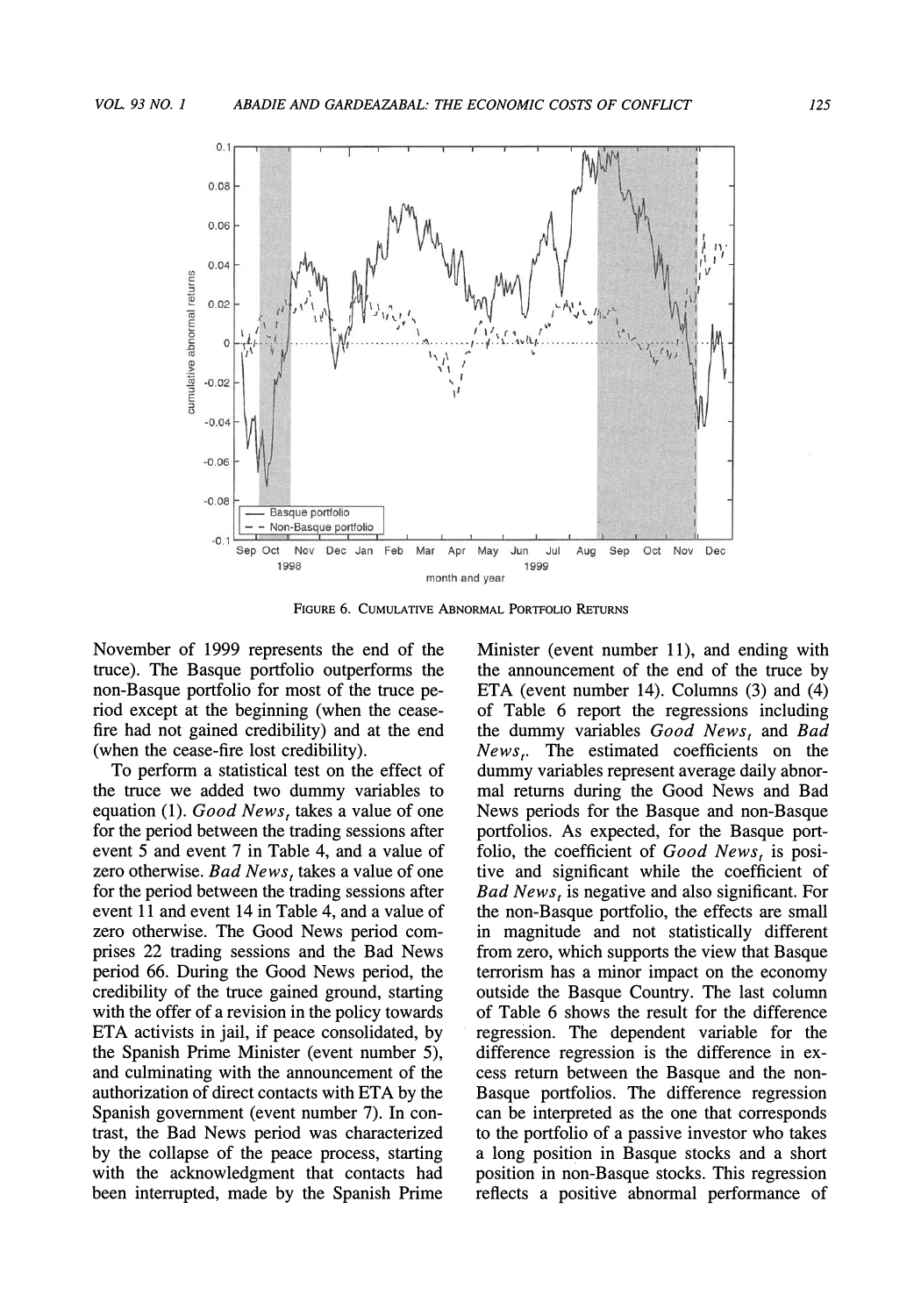

**FIGURE 6. CUMULATIVE ABNORMAL PORTFOLIO RETURNS** 

**November of 1999 represents the end of the truce). The Basque portfolio outperforms the non-Basque portfolio for most of the truce period except at the beginning (when the ceasefire had not gained credibility) and at the end (when the cease-fire lost credibility).** 

**To perform a statistical test on the effect of the truce we added two dummy variables to equation (1). Good News, takes a value of one for the period between the trading sessions after event 5 and event 7 in Table 4, and a value of**  zero otherwise. Bad News, takes a value of one **for the period between the trading sessions after event 11 and event 14 in Table 4, and a value of zero otherwise. The Good News period comprises 22 trading sessions and the Bad News period 66. During the Good News period, the credibility of the truce gained ground, starting with the offer of a revision in the policy towards ETA activists in jail, if peace consolidated, by the Spanish Prime Minister (event number 5), and culminating with the announcement of the authorization of direct contacts with ETA by the Spanish government (event number 7). In contrast, the Bad News period was characterized by the collapse of the peace process, starting with the acknowledgment that contacts had been interrupted, made by the Spanish Prime** 

**Minister (event number 11), and ending with the announcement of the end of the truce by ETA (event number 14). Columns (3) and (4) of Table 6 report the regressions including**  the dummy variables Good News, and Bad News.. The estimated coefficients on the **dummy variables represent average daily abnormal returns during the Good News and Bad News periods for the Basque and non-Basque portfolios. As expected, for the Basque port**folio, the coefficient of Good News, is posi**tive and significant while the coefficient of**  Bad News, is negative and also significant. For **the non-Basque portfolio, the effects are small in magnitude and not statistically different from zero, which supports the view that Basque terrorism has a minor impact on the economy outside the Basque Country. The last column of Table 6 shows the result for the difference regression. The dependent variable for the difference regression is the difference in excess return between the Basque and the non-Basque portfolios. The difference regression can be interpreted as the one that corresponds to the portfolio of a passive investor who takes a long position in Basque stocks and a short position in non-Basque stocks. This regression reflects a positive abnormal performance of**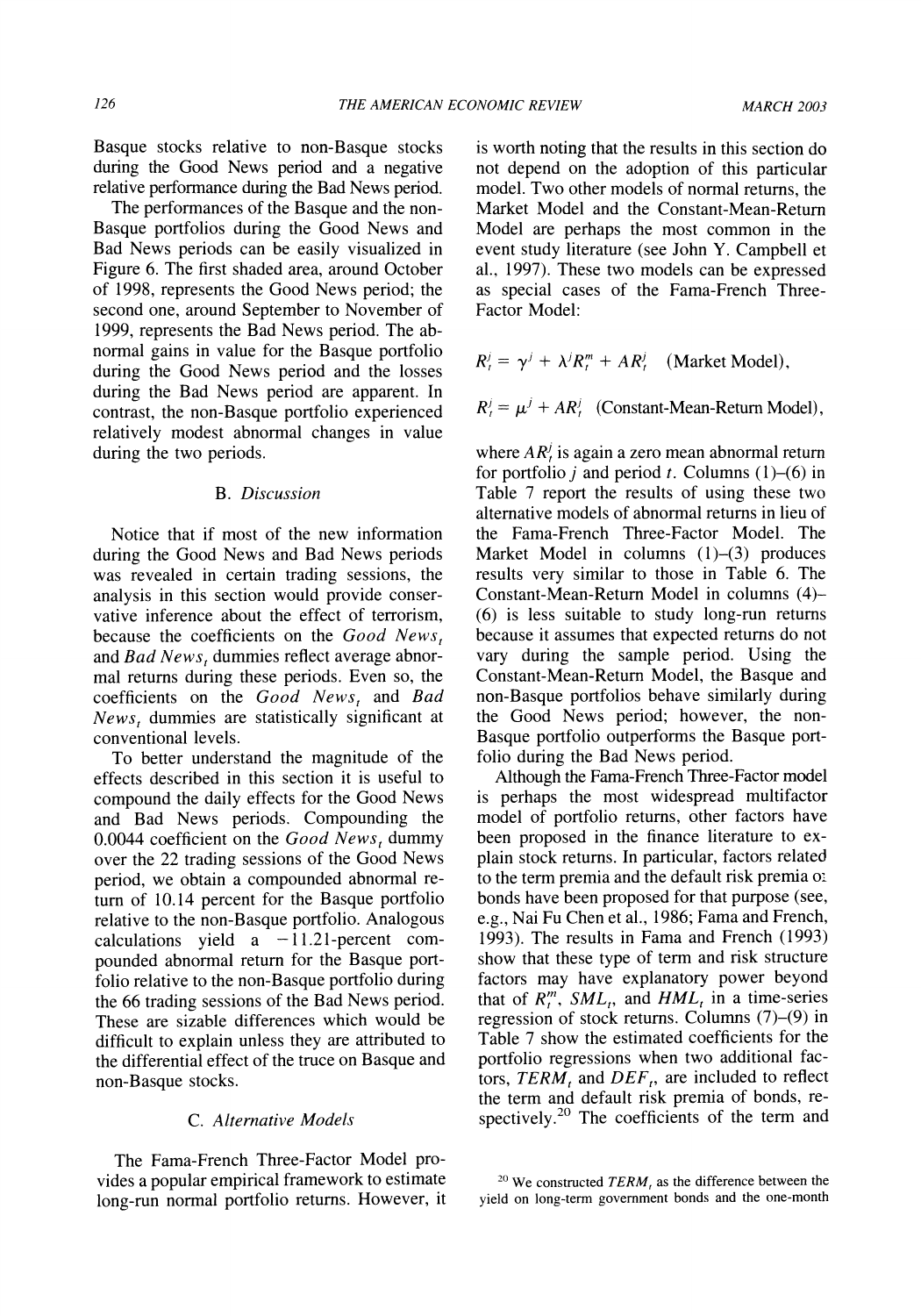**Basque stocks relative to non-Basque stocks during the Good News period and a negative relative performance during the Bad News period.** 

**The performances of the Basque and the non-Basque portfolios during the Good News and Bad News periods can be easily visualized in Figure 6. The first shaded area, around October of 1998, represents the Good News period; the second one, around September to November of 1999, represents the Bad News period. The abnormal gains in value for the Basque portfolio during the Good News period and the losses during the Bad News period are apparent. In contrast, the non-Basque portfolio experienced relatively modest abnormal changes in value during the two periods.** 

#### **B. Discussion**

**Notice that if most of the new information during the Good News and Bad News periods was revealed in certain trading sessions, the analysis in this section would provide conservative inference about the effect of terrorism,**  because the coefficients on the Good News, and Bad News, dummies reflect average abnor**mal returns during these periods. Even so, the**  coefficients on the Good News, and Bad News, dummies are statistically significant at **conventional levels.** 

**To better understand the magnitude of the effects described in this section it is useful to compound the daily effects for the Good News and Bad News periods. Compounding the**  0.0044 coefficient on the  $Good News_t$  dummy **over the 22 trading sessions of the Good News period, we obtain a compounded abnormal return of 10.14 percent for the Basque portfolio relative to the non-Basque portfolio. Analogous**  calculations yield a -11.21-percent com**pounded abnormal return for the Basque portfolio relative to the non-Basque portfolio during the 66 trading sessions of the Bad News period. These are sizable differences which would be difficult to explain unless they are attributed to the differential effect of the truce on Basque and non-Basque stocks.** 

## **C. Alternative Models**

**The Fama-French Three-Factor Model provides a popular empirical framework to estimate long-run normal portfolio returns. However, it** 

**is worth noting that the results in this section do not depend on the adoption of this particular model. Two other models of normal returns, the Market Model and the Constant-Mean-Return Model are perhaps the most common in the event study literature (see John Y. Campbell et al., 1997). These two models can be expressed as special cases of the Fama-French Three-Factor Model:** 

$$
R_t^j = \gamma^j + \lambda^j R_t^m + AR_t^j \quad \text{(Market Model)},
$$

 $R_i^j = \mu^j + AR_i^j$  (Constant-Mean-Return Model),

where  $AR_t^j$  is again a zero mean abnormal return for portfolio *j* and period *t*. Columns  $(1)$ – $(6)$  in **Table 7 report the results of using these two alternative models of abnormal returns in lieu of the Fama-French Three-Factor Model. The Market Model in columns (1)-(3) produces results very similar to those in Table 6. The Constant-Mean-Return Model in columns (4)- (6) is less suitable to study long-run returns because it assumes that expected returns do not vary during the sample period. Using the Constant-Mean-Return Model, the Basque and non-Basque portfolios behave similarly during the Good News period; however, the non-Basque portfolio outperforms the Basque portfolio during the Bad News period.** 

**Although the Fama-French Three-Factor model is perhaps the most widespread multifactor model of portfolio returns, other factors have been proposed in the finance literature to explain stock returns. In particular, factors related to the term premia and the default risk premia ol bonds have been proposed for that purpose (see, e.g., Nai Fu Chen et al., 1986; Fama and French, 1993). The results in Fama and French (1993) show that these type of term and risk structure factors may have explanatory power beyond**  that of  $R_t^m$ ,  $SML_t$ , and  $HML_t$  in a time-series **regression of stock returns. Columns (7)-(9) in Table 7 show the estimated coefficients for the portfolio regressions when two additional fac**tors,  $TERM_t$  and  $DEF_t$ , are included to reflect **the term and default risk premia of bonds, respectively.20 The coefficients of the term and** 

**<sup>20</sup> We constructed TERM, as the difference between the yield on long-term government bonds and the one-month**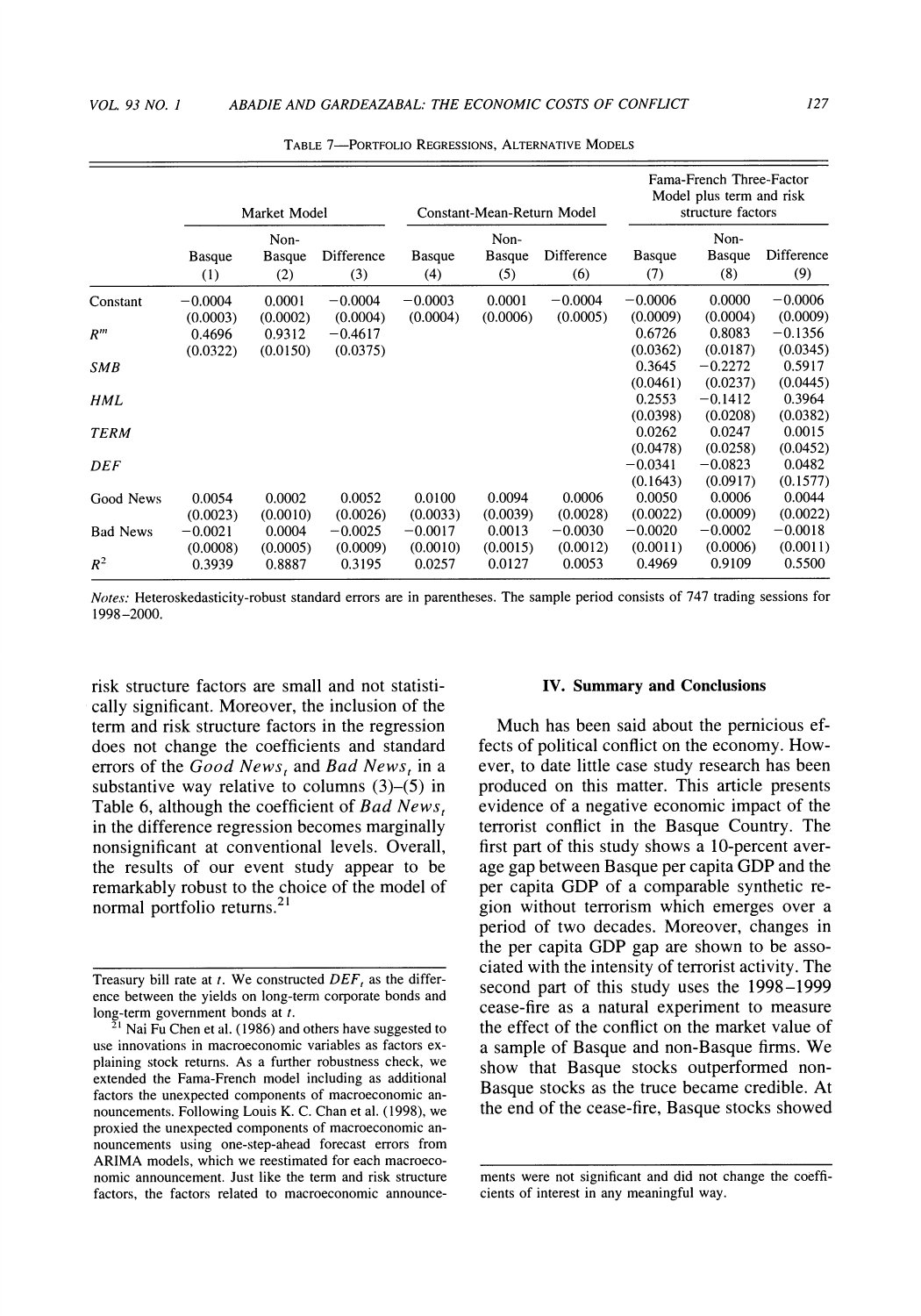|                 | Market Model          |                              |                       | Constant-Mean-Return Model |                              |                       | Fama-French Three-Factor<br>Model plus term and risk<br>structure factors |                       |                       |
|-----------------|-----------------------|------------------------------|-----------------------|----------------------------|------------------------------|-----------------------|---------------------------------------------------------------------------|-----------------------|-----------------------|
|                 | <b>Basque</b><br>(1)  | Non-<br><b>Basque</b><br>(2) | Difference<br>(3)     | <b>Basque</b><br>(4)       | Non-<br><b>Basque</b><br>(5) | Difference<br>(6)     | Basque<br>(7)                                                             | Non-<br>Basque<br>(8) | Difference<br>(9)     |
| Constant        | $-0.0004$<br>(0.0003) | 0.0001<br>(0.0002)           | $-0.0004$<br>(0.0004) | $-0.0003$<br>(0.0004)      | 0.0001<br>(0.0006)           | $-0.0004$<br>(0.0005) | $-0.0006$<br>(0.0009)                                                     | 0.0000<br>(0.0004)    | $-0.0006$<br>(0.0009) |
| $R^m$           | 0.4696<br>(0.0322)    | 0.9312<br>(0.0150)           | $-0.4617$<br>(0.0375) |                            |                              |                       | 0.6726<br>(0.0362)                                                        | 0.8083<br>(0.0187)    | $-0.1356$<br>(0.0345) |
| SMB             |                       |                              |                       |                            |                              |                       | 0.3645<br>(0.0461)                                                        | $-0.2272$<br>(0.0237) | 0.5917<br>(0.0445)    |
| HML             |                       |                              |                       |                            |                              |                       | 0.2553<br>(0.0398)                                                        | $-0.1412$<br>(0.0208) | 0.3964<br>(0.0382)    |
| <b>TERM</b>     |                       |                              |                       |                            |                              |                       | 0.0262<br>(0.0478)                                                        | 0.0247<br>(0.0258)    | 0.0015<br>(0.0452)    |
| <b>DEF</b>      |                       |                              |                       |                            |                              |                       | $-0.0341$<br>(0.1643)                                                     | $-0.0823$<br>(0.0917) | 0.0482<br>(0.1577)    |
| Good News       | 0.0054<br>(0.0023)    | 0.0002<br>(0.0010)           | 0.0052<br>(0.0026)    | 0.0100<br>(0.0033)         | 0.0094<br>(0.0039)           | 0.0006<br>(0.0028)    | 0.0050<br>(0.0022)                                                        | 0.0006<br>(0.0009)    | 0.0044<br>(0.0022)    |
| <b>Bad News</b> | $-0.0021$<br>(0.0008) | 0.0004<br>(0.0005)           | $-0.0025$<br>(0.0009) | $-0.0017$<br>(0.0010)      | 0.0013<br>(0.0015)           | $-0.0030$<br>(0.0012) | $-0.0020$<br>(0.0011)                                                     | $-0.0002$<br>(0.0006) | $-0.0018$<br>(0.0011) |
| $R^2$           | 0.3939                | 0.8887                       | 0.3195                | 0.0257                     | 0.0127                       | 0.0053                | 0.4969                                                                    | 0.9109                | 0.5500                |

**TABLE 7-PORTFOLIO REGRESSIONS, ALTERNATIVE MODELS** 

**Notes: Heteroskedasticity-robust standard errors are in parentheses. The sample period consists of 747 trading sessions for 1998-2000.** 

**risk structure factors are small and not statistically significant. Moreover, the inclusion of the term and risk structure factors in the regression does not change the coefficients and standard**  errors of the Good News, and Bad News, in a **substantive way relative to columns (3)-(5) in**  Table 6, although the coefficient of Bad News, **in the difference regression becomes marginally nonsignificant at conventional levels. Overall, the results of our event study appear to be remarkably robust to the choice of the model of normal portfolio returns.21** 

## **IV. Summary and Conclusions**

**Much has been said about the pernicious effects of political conflict on the economy. However, to date little case study research has been produced on this matter. This article presents evidence of a negative economic impact of the terrorist conflict in the Basque Country. The first part of this study shows a 10-percent average gap between Basque per capita GDP and the per capita GDP of a comparable synthetic region without terrorism which emerges over a period of two decades. Moreover, changes in the per capita GDP gap are shown to be associated with the intensity of terrorist activity. The second part of this study uses the 1998-1999 cease-fire as a natural experiment to measure the effect of the conflict on the market value of a sample of Basque and non-Basque firms. We show that Basque stocks outperformed non-Basque stocks as the truce became credible. At the end of the cease-fire, Basque stocks showed** 

**Treasury bill rate at t. We constructed DEF, as the difference between the yields on long-term corporate bonds and long-term government bonds at t.** 

**<sup>21</sup>Nai Fu Chen et al. (1986) and others have suggested to use innovations in macroeconomic variables as factors explaining stock returns. As a further robustness check, we extended the Fama-French model including as additional factors the unexpected components of macroeconomic announcements. Following Louis K. C. Chan et al. (1998), we proxied the unexpected components of macroeconomic announcements using one-step-ahead forecast errors from ARIMA models, which we reestimated for each macroeconomic announcement. Just like the term and risk structure factors, the factors related to macroeconomic announce-**

**ments were not significant and did not change the coefficients of interest in any meaningful way.**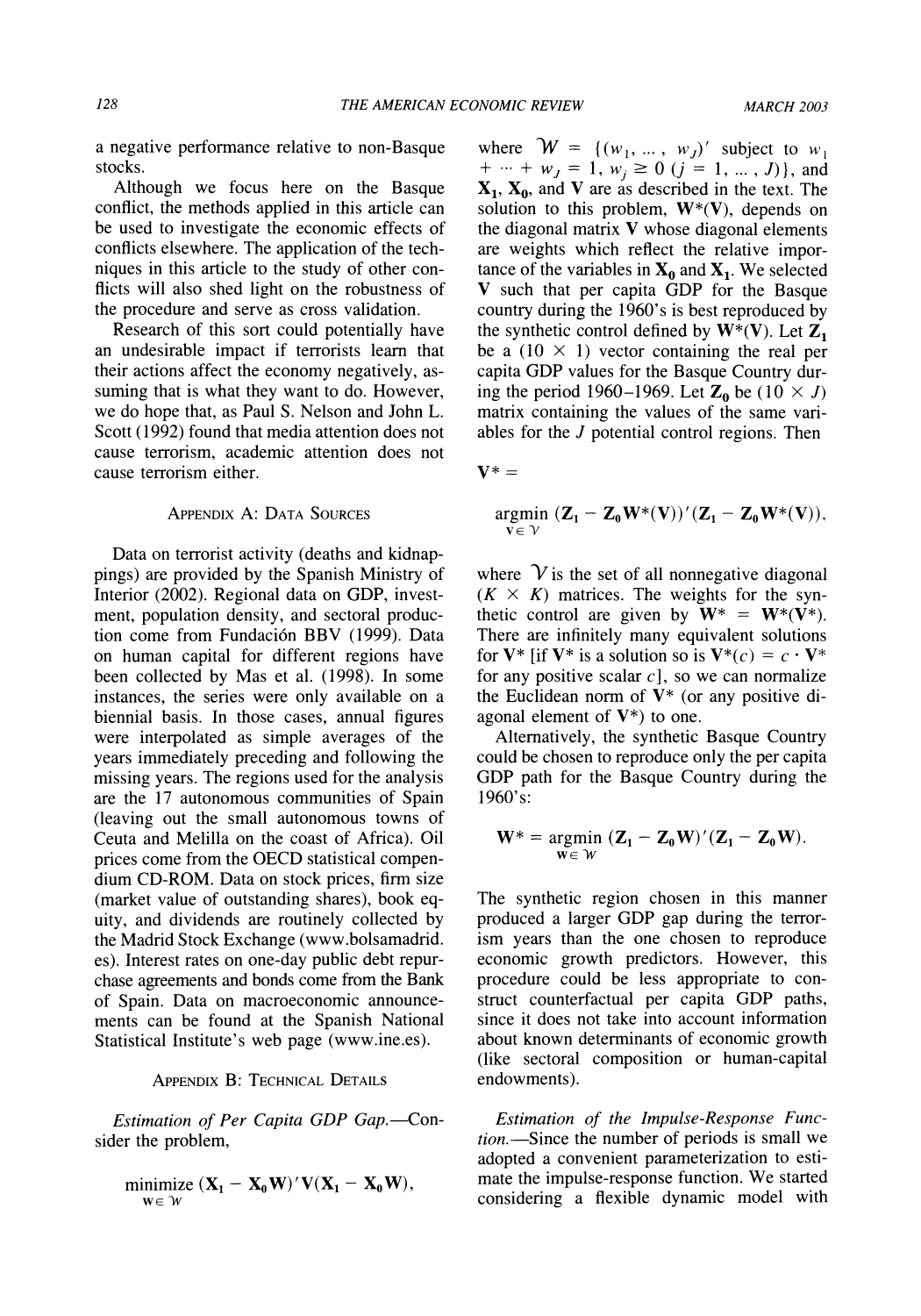**a negative performance relative to non-Basque stocks.** 

**Although we focus here on the Basque conflict, the methods applied in this article can be used to investigate the economic effects of conflicts elsewhere. The application of the techniques in this article to the study of other conflicts will also shed light on the robustness of the procedure and serve as cross validation.** 

**Research of this sort could potentially have an undesirable impact if terrorists learn that their actions affect the economy negatively, assuming that is what they want to do. However, we do hope that, as Paul S. Nelson and John L. Scott (1992) found that media attention does not cause terrorism, academic attention does not cause terrorism either.** 

## **APPENDIX A: DATA SOURCES**

**Data on terrorist activity (deaths and kidnappings) are provided by the Spanish Ministry of Interior (2002). Regional data on GDP, investment, population density, and sectoral production come from Fundacion BBV (1999). Data on human capital for different regions have been collected by Mas et al. (1998). In some instances, the series were only available on a biennial basis. In those cases, annual figures were interpolated as simple averages of the years immediately preceding and following the missing years. The regions used for the analysis are the 17 autonomous communities of Spain (leaving out the small autonomous towns of Ceuta and Melilla on the coast of Africa). Oil prices come from the OECD statistical compendium CD-ROM. Data on stock prices, firm size (market value of outstanding shares), book equity, and dividends are routinely collected by the Madrid Stock Exchange (www.bolsamadrid. es). Interest rates on one-day public debt repurchase agreements and bonds come from the Bank of Spain. Data on macroeconomic announcements can be found at the Spanish National Statistical Institute's web page (www.ine.es).** 

#### **APPENDIX B: TECHNICAL DETAILS**

**Estimation of Per Capita GDP Gap.--Consider the problem,** 

$$
\underset{W \in \mathcal{W}}{\text{minimize}} (X_1 - X_0 W)'V(X_1 - X_0 W),
$$

where  $\mathcal{W} = \{ (w_1, \dots, w_J)' \text{ subject to } w_1 \}$  $+ \cdots + w_j = 1, w_j \ge 0 \ (j = 1, \ldots, J) \}$ , and  $X_1$ ,  $X_0$ , and V are as described in the text. The **solution to this problem, W\*(V), depends on the diagonal matrix V whose diagonal elements are weights which reflect the relative impor**tance of the variables in  $X_0$  and  $X_1$ . We selected **V such that per capita GDP for the Basque country during the 1960's is best reproduced by**  the synthetic control defined by  $W^*(V)$ . Let  $Z_1$ be a  $(10 \times 1)$  vector containing the real per **capita GDP values for the Basque Country dur**ing the period 1960–1969. Let  $\mathbb{Z}_0$  be  $(10 \times J)$ **matrix containing the values of the same variables for the J potential control regions. Then** 

$$
\mathbf{V}^* =
$$

$$
\underset{v \in \mathcal{V}}{\text{argmin}} \ (\mathbf{Z}_1 - \mathbf{Z}_0 \mathbf{W}^*(\mathbf{V}))'(\mathbf{Z}_1 - \mathbf{Z}_0 \mathbf{W}^*(\mathbf{V})),
$$

where  $\mathcal V$  is the set of all nonnegative diagonal  $(K \times K)$  matrices. The weights for the synthetic control are given by  $W^* = W^*(V^*)$ . **There are infinitely many equivalent solutions**  for  $V^*$  [if  $V^*$  is a solution so is  $V^*(c) = c \cdot V^*$ **for any positive scalar c], so we can normalize the Euclidean norm of V\* (or any positive diagonal element of V\*) to one.** 

**Alternatively, the synthetic Basque Country could be chosen to reproduce only the per capita GDP path for the Basque Country during the 1960's:** 

$$
W^* = \underset{W \in \mathcal{W}}{\operatorname{argmin}} (Z_1 - Z_0 W)' (Z_1 - Z_0 W).
$$

**The synthetic region chosen in this manner produced a larger GDP gap during the terrorism years than the one chosen to reproduce economic growth predictors. However, this procedure could be less appropriate to construct counterfactual per capita GDP paths, since it does not take into account information about known determinants of economic growth (like sectoral composition or human-capital endowments).** 

**Estimation of the Impulse-Response Function.-Since the number of periods is small we adopted a convenient parameterization to estimate the impulse-response function. We started considering a flexible dynamic model with**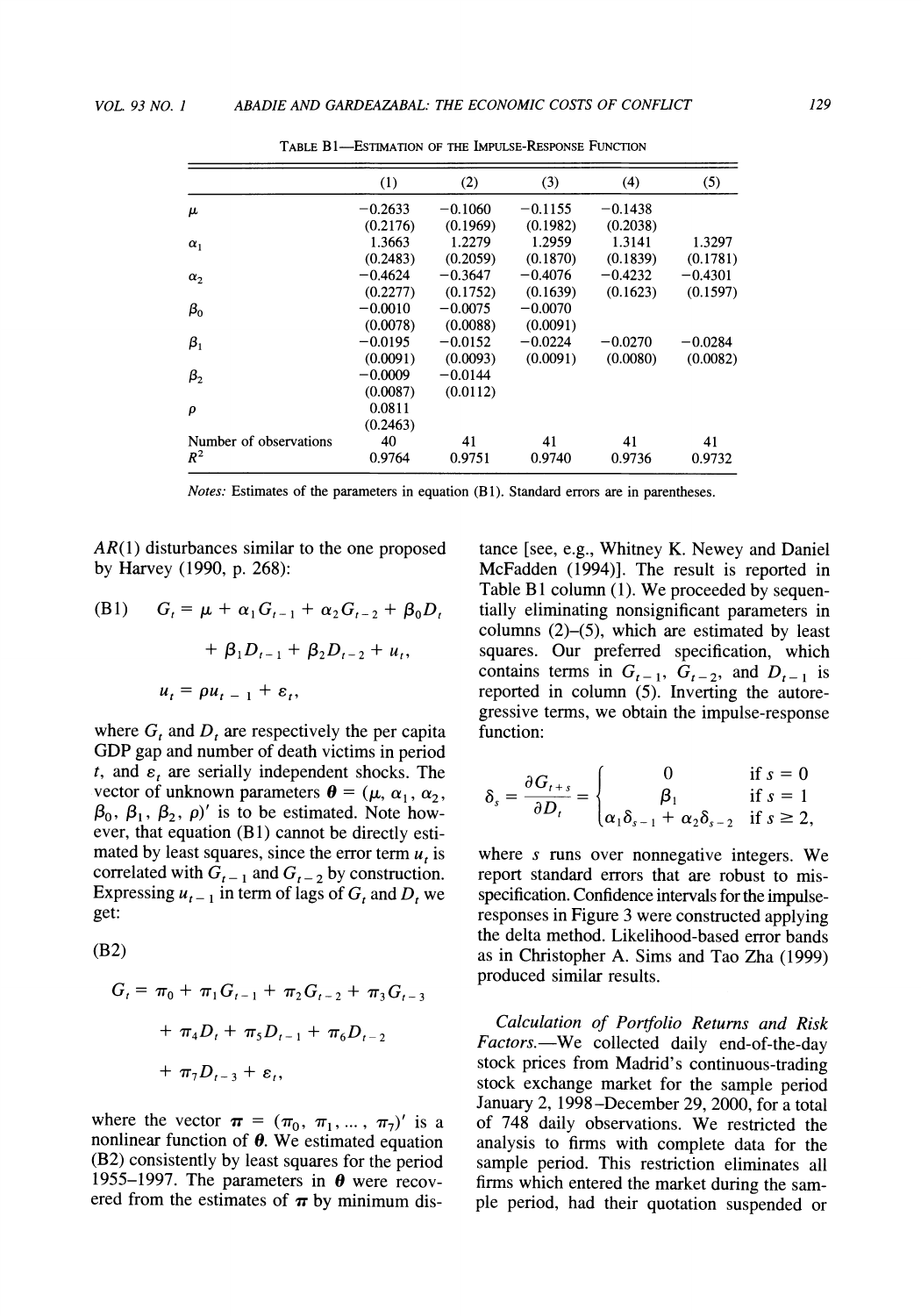|                        | (1)       | (2)       | (3)       | (4)       | (5)       |
|------------------------|-----------|-----------|-----------|-----------|-----------|
| $\mu$                  | $-0.2633$ | $-0.1060$ | $-0.1155$ | $-0.1438$ |           |
|                        | (0.2176)  | (0.1969)  | (0.1982)  | (0.2038)  |           |
| $\alpha_1$             | 1.3663    | 1.2279    | 1.2959    | 1.3141    | 1.3297    |
|                        | (0.2483)  | (0.2059)  | (0.1870)  | (0.1839)  | (0.1781)  |
| $\alpha_2$             | $-0.4624$ | $-0.3647$ | $-0.4076$ | $-0.4232$ | $-0.4301$ |
|                        | (0.2277)  | (0.1752)  | (0.1639)  | (0.1623)  | (0.1597)  |
| $\beta_0$              | $-0.0010$ | $-0.0075$ | $-0.0070$ |           |           |
|                        | (0.0078)  | (0.0088)  | (0.0091)  |           |           |
| $\beta_1$              | $-0.0195$ | $-0.0152$ | $-0.0224$ | $-0.0270$ | $-0.0284$ |
|                        | (0.0091)  | (0.0093)  | (0.0091)  | (0.0080)  | (0.0082)  |
| $\beta_{2}$            | $-0.0009$ | $-0.0144$ |           |           |           |
|                        | (0.0087)  | (0.0112)  |           |           |           |
| ρ                      | 0.0811    |           |           |           |           |
|                        | (0.2463)  |           |           |           |           |
| Number of observations | 40        | 41        | 41        | 41        | 41        |
| $R^2$                  | 0.9764    | 0.9751    | 0.9740    | 0.9736    | 0.9732    |

TABLE **B1-ESTIMATION OF THE IMPULSE-RESPONSE FUNCTION** 

**Notes: Estimates of the parameters in equation (B 1). Standard errors are in parentheses.** 

**AR(1) disturbances similar to the one proposed by Harvey (1990, p. 268):** 

(B1) 
$$
G_{t} = \mu + \alpha_{1} G_{t-1} + \alpha_{2} G_{t-2} + \beta_{0} D_{t} + \beta_{1} D_{t-1} + \beta_{2} D_{t-2} + u_{t},
$$

$$
u_{t} = \rho u_{t-1} + \varepsilon_{t},
$$

where  $G_t$  and  $D_t$  are respectively the per capita **GDP gap and number of death victims in period**   $t$ , and  $\varepsilon$ , are serially independent shocks. The vector of unknown parameters  $\boldsymbol{\theta} = (\mu, \alpha_1, \alpha_2, \alpha_3)$  $\beta_0$ ,  $\beta_1$ ,  $\beta_2$ ,  $\rho$ )' is to be estimated. Note however, that equation (B1) cannot be directly estimated by least squares, since the error term  $u_t$ , is **correlated with**  $G_{t-1}$  **and**  $G_{t-2}$  **by construction. Expressing**  $u_{t-1}$  **in term of lags of**  $G_t$  **and**  $D_t$  **we get:** 

**(B2)** 

$$
G_{t} = \pi_{0} + \pi_{1}G_{t-1} + \pi_{2}G_{t-2} + \pi_{3}G_{t-3}
$$

$$
+ \pi_{4}D_{t} + \pi_{5}D_{t-1} + \pi_{6}D_{t-2}
$$

$$
+ \pi_{7}D_{t-3} + \varepsilon_{t},
$$

where the vector  $\boldsymbol{\pi} = (\pi_0, \pi_1, \dots, \pi_7)'$  is a **nonlinear function of**  $\theta$ **.** We estimated equation **(B2) consistently by least squares for the period**  1955–1997. The parameters in  $\theta$  were recovered from the estimates of  $\pi$  by minimum dis**tance [see, e.g., Whitney K. Newey and Daniel McFadden (1994)]. The result is reported in**  Table B1 column (1). We proceeded by sequen**tially eliminating nonsignificant parameters in columns (2)-(5), which are estimated by least squares. Our preferred specification, which**  contains terms in  $G_{t-1}$ ,  $G_{t-2}$ , and  $D_{t-1}$  is **reported in column (5). Inverting the autoregressive terms, we obtain the impulse-response function:** 

$$
\delta_s = \frac{\partial G_{t+s}}{\partial D_t} = \begin{cases} 0 & \text{if } s = 0\\ \beta_1 & \text{if } s = 1\\ \alpha_1 \delta_{s-1} + \alpha_2 \delta_{s-2} & \text{if } s \ge 2, \end{cases}
$$

**where s runs over nonnegative integers. We report standard errors that are robust to misspecification. Confidence intervals for the impulseresponses in Figure 3 were constructed applying the delta method. Likelihood-based error bands as in Christopher A. Sims and Tao Zha (1999) produced similar results.** 

**Calculation of Portfolio Returns and Risk**  Factors.- We collected daily end-of-the-day **stock prices from Madrid's continuous-trading stock exchange market for the sample period January 2, 1998-December 29, 2000, for a total of 748 daily observations. We restricted the analysis to firms with complete data for the sample period. This restriction eliminates all firms which entered the market during the sample period, had their quotation suspended or**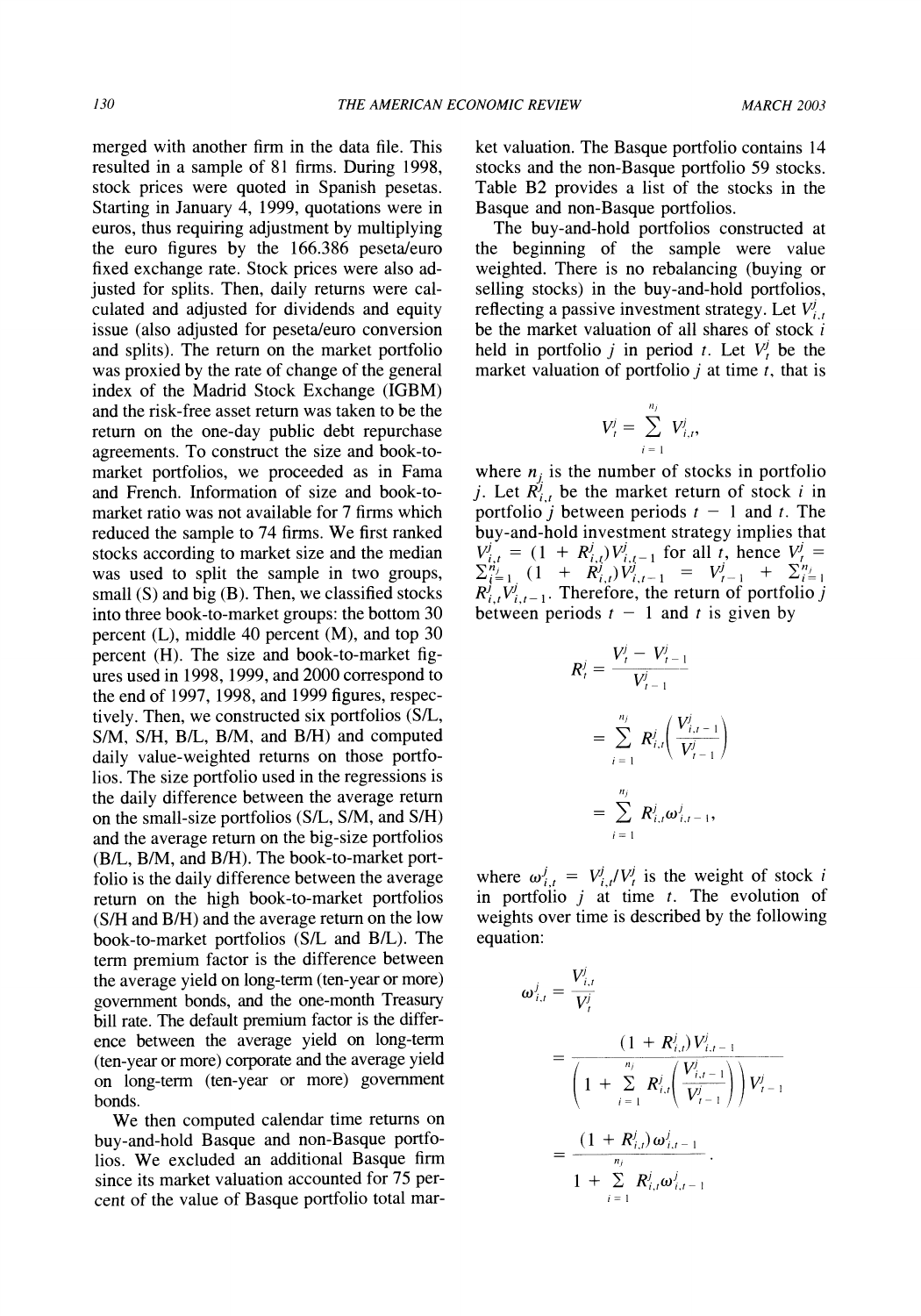**merged with another firm in the data file. This resulted in a sample of 81 firms. During 1998, stock prices were quoted in Spanish pesetas. Starting in January 4, 1999, quotations were in euros, thus requiring adjustment by multiplying the euro figures by the 166.386 peseta/euro fixed exchange rate. Stock prices were also adjusted for splits. Then, daily returns were calculated and adjusted for dividends and equity issue (also adjusted for peseta/euro conversion and splits). The return on the market portfolio was proxied by the rate of change of the general index of the Madrid Stock Exchange (IGBM) and the risk-free asset return was taken to be the return on the one-day public debt repurchase agreements. To construct the size and book-tomarket portfolios, we proceeded as in Fama and French. Information of size and book-tomarket ratio was not available for 7 firms which reduced the sample to 74 firms. We first ranked stocks according to market size and the median was used to split the sample in two groups, small (S) and big (B). Then, we classified stocks into three book-to-market groups: the bottom 30 percent (L), middle 40 percent (M), and top 30 percent (H). The size and book-to-market figures used in 1998, 1999, and 2000 correspond to the end of 1997, 1998, and 1999 figures, respectively. Then, we constructed six portfolios (S/L, S/M, S/H, B/L, B/M, and B/H) and computed daily value-weighted returns on those portfolios. The size portfolio used in the regressions is the daily difference between the average return on the small-size portfolios (S/L, S/M, and S/H) and the average return on the big-size portfolios (B/L, B/M, and B/H). The book-to-market portfolio is the daily difference between the average return on the high book-to-market portfolios (S/H and B/H) and the average return on the low book-to-market portfolios (S/L and B/L). The term premium factor is the difference between the average yield on long-term (ten-year or more) government bonds, and the one-month Treasury bill rate. The default premium factor is the difference between the average yield on long-term (ten-year or more) corporate and the average yield on long-term (ten-year or more) government bonds.** 

**We then computed calendar time returns on buy-and-hold Basque and non-Basque portfolios. We excluded an additional Basque firm since its market valuation accounted for 75 percent of the value of Basque portfolio total mar-** **ket valuation. The Basque portfolio contains 14 stocks and the non-Basque portfolio 59 stocks. Table B2 provides a list of the stocks in the Basque and non-Basque portfolios.** 

**The buy-and-hold portfolios constructed at the beginning of the sample were value weighted. There is no rebalancing (buying or selling stocks) in the buy-and-hold portfolios,**  reflecting a passive investment strategy. Let  $V_{i,t}$ **be the market valuation of all shares of stock i**  held in portfolio  $j$  in period  $t$ . Let  $V^j$ , be the market valuation of portfolio *j* at time *t*, that is

$$
V_t^j = \sum_{i=1}^{n_j} V_{i,t}^j,
$$

where  $n_i$  is the number of stocks in portfolio *j*. Let  $R_{i,t}^{j}$  be the market return of stock *i* in **portfolio** *j* between periods  $t - 1$  and  $t$ . The **buy-and-hold investment strategy implies that**   $V_{i,t}^j = (1 + R_{i,t}^j) V_{i,t-1}^j$  for all t, hence  $V_{i,t}^j =$  $\sum_{i=1}^{n_j} (1 + R'_{i,t})V'_{i,t-1} = V'_{t-1} + \sum_{i=1}^{n_j}$  $R_{i,t}^{j} V_{i,t-1}^{j}$ . Therefore, the return of portfolio *j* **between periods**  $t - 1$  **and t is given by** 

$$
R_t^j = \frac{V_t^j - V_{t-1}^j}{V_{t-1}^j}
$$
  
= 
$$
\sum_{i=1}^{n_j} R_{i,t}^j \left( \frac{V_{i,t-1}^j}{V_{t-1}^j} \right)
$$
  
= 
$$
\sum_{i=1}^{n_j} R_{i,t}^j \omega_{i,t-1}^j
$$
,

where  $\omega_{i,t}^j = V_{i,t}^j / V_t^j$  is the weight of stock i **in portfolio j at time t. The evolution of weights over time is described by the following equation:** 

$$
\omega_{i,t}^j = \frac{V_{i,t}^j}{V_t^j}
$$
  
= 
$$
\frac{(1 + R_{i,t}^j)V_{i,t-1}^j}{\left(1 + \sum_{i=1}^{n_j} R_{i,t}^j \left(\frac{V_{i,t-1}^j}{V_{t-1}^j}\right)\right)V_{t-1}^j}
$$
  
= 
$$
\frac{(1 + R_{i,t}^j)\omega_{i,t-1}^j}{1 + \sum_{i=1}^{n_j} R_{i,t}^j \omega_{i,t-1}^j}.
$$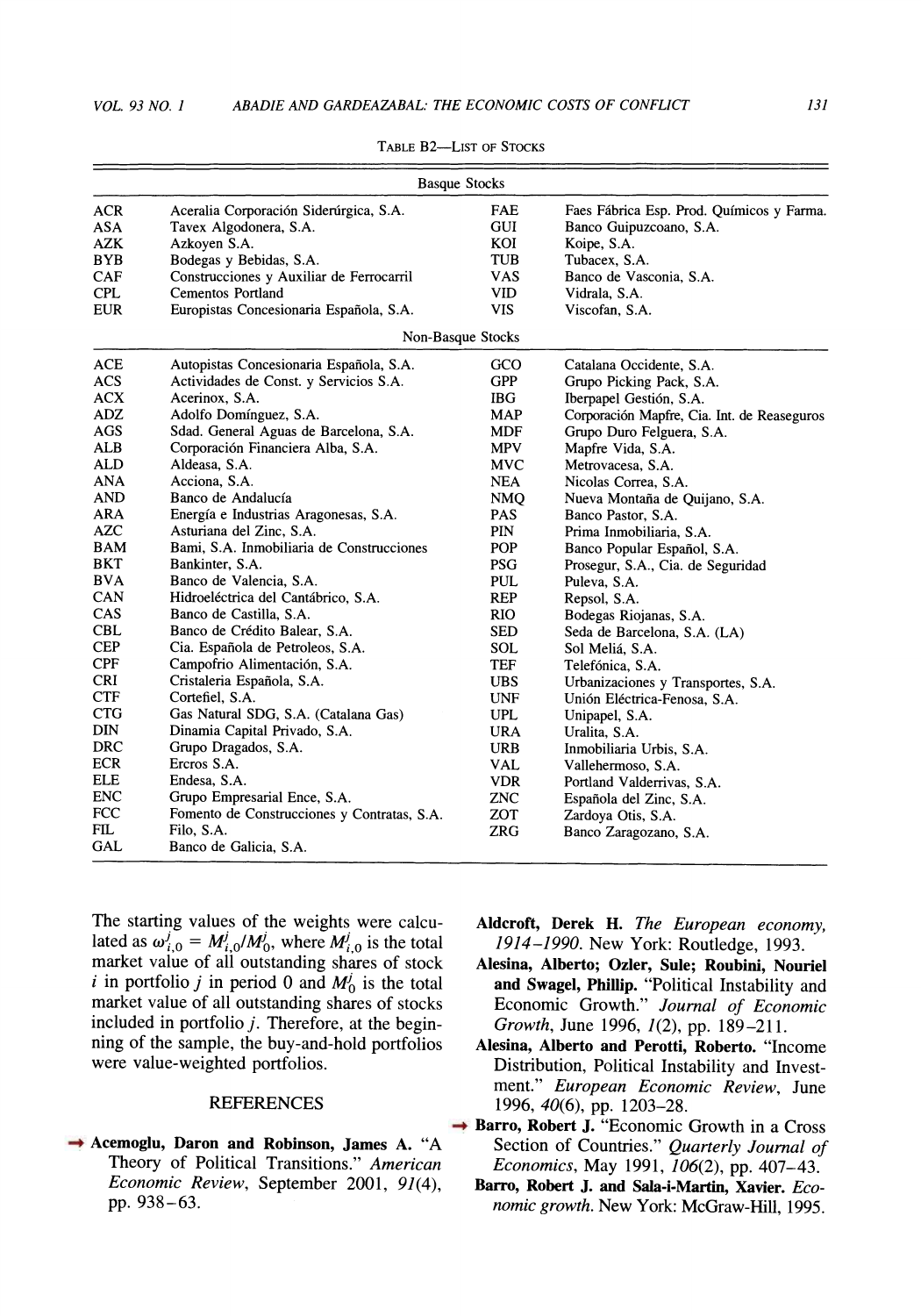|            | <b>Basque Stocks</b>                        |            |                                             |
|------------|---------------------------------------------|------------|---------------------------------------------|
| <b>ACR</b> | Aceralia Corporación Siderúrgica, S.A.      | FAE        | Faes Fábrica Esp. Prod. Químicos y Farma.   |
| <b>ASA</b> | Tavex Algodonera, S.A.                      | GUI        | Banco Guipuzcoano, S.A.                     |
| <b>AZK</b> | Azkoyen S.A.                                | KOI        | Koipe, S.A.                                 |
| <b>BYB</b> | Bodegas y Bebidas, S.A.                     | TUB        | Tubacex, S.A.                               |
| <b>CAF</b> | Construcciones y Auxiliar de Ferrocarril    | <b>VAS</b> | Banco de Vasconia, S.A.                     |
| <b>CPL</b> | <b>Cementos Portland</b>                    | <b>VID</b> | Vidrala, S.A.                               |
| <b>EUR</b> | Europistas Concesionaria Española, S.A.     | <b>VIS</b> | Viscofan, S.A.                              |
|            | Non-Basque Stocks                           |            |                                             |
| <b>ACE</b> | Autopistas Concesionaria Española, S.A.     | GCO        | Catalana Occidente, S.A.                    |
| <b>ACS</b> | Actividades de Const. y Servicios S.A.      | <b>GPP</b> | Grupo Picking Pack, S.A.                    |
| <b>ACX</b> | Acerinox, S.A.                              | <b>IBG</b> | Iberpapel Gestión, S.A.                     |
| <b>ADZ</b> | Adolfo Domínguez, S.A.                      | <b>MAP</b> | Corporación Mapfre, Cia. Int. de Reaseguros |
| <b>AGS</b> | Sdad. General Aguas de Barcelona, S.A.      | <b>MDF</b> | Grupo Duro Felguera, S.A.                   |
| <b>ALB</b> | Corporación Financiera Alba, S.A.           | <b>MPV</b> | Mapfre Vida, S.A.                           |
| <b>ALD</b> | Aldeasa, S.A.                               | <b>MVC</b> | Metrovacesa, S.A.                           |
| <b>ANA</b> | Acciona, S.A.                               | <b>NEA</b> | Nicolas Correa, S.A.                        |
| <b>AND</b> | Banco de Andalucía                          | <b>NMO</b> | Nueva Montaña de Quijano, S.A.              |
| <b>ARA</b> | Energía e Industrias Aragonesas, S.A.       | PAS        | Banco Pastor, S.A.                          |
| <b>AZC</b> | Asturiana del Zinc, S.A.                    | PIN        | Prima Inmobiliaria, S.A.                    |
| <b>BAM</b> | Bami, S.A. Inmobiliaria de Construcciones   | POP        | Banco Popular Español, S.A.                 |
| <b>BKT</b> | Bankinter, S.A.                             | <b>PSG</b> | Prosegur, S.A., Cia. de Seguridad           |
| <b>BVA</b> | Banco de Valencia, S.A.                     | <b>PUL</b> | Puleva, S.A.                                |
| CAN        | Hidroeléctrica del Cantábrico, S.A.         | <b>REP</b> | Repsol, S.A.                                |
| CAS        | Banco de Castilla, S.A.                     | <b>RIO</b> | Bodegas Riojanas, S.A.                      |
| <b>CBL</b> | Banco de Crédito Balear, S.A.               | <b>SED</b> | Seda de Barcelona, S.A. (LA)                |
| <b>CEP</b> | Cia. Española de Petroleos, S.A.            | <b>SOL</b> | Sol Meliá, S.A.                             |
| <b>CPF</b> | Campofrio Alimentación, S.A.                | <b>TEF</b> | Telefónica, S.A.                            |
| <b>CRI</b> | Cristaleria Española, S.A.                  | <b>UBS</b> | Urbanizaciones y Transportes, S.A.          |
| <b>CTF</b> | Cortefiel, S.A.                             | <b>UNF</b> | Unión Eléctrica-Fenosa, S.A.                |
| <b>CTG</b> | Gas Natural SDG, S.A. (Catalana Gas)        | <b>UPL</b> | Unipapel, S.A.                              |
| <b>DIN</b> | Dinamia Capital Privado, S.A.               | <b>URA</b> | Uralita, S.A.                               |
| <b>DRC</b> | Grupo Dragados, S.A.                        | <b>URB</b> | Inmobiliaria Urbis, S.A.                    |
| <b>ECR</b> | Ercros S.A.                                 | <b>VAL</b> | Vallehermoso, S.A.                          |
| <b>ELE</b> | Endesa, S.A.                                | <b>VDR</b> | Portland Valderrivas, S.A.                  |
| <b>ENC</b> | Grupo Empresarial Ence, S.A.                | <b>ZNC</b> | Española del Zinc, S.A.                     |
| <b>FCC</b> | Fomento de Construcciones y Contratas, S.A. | <b>ZOT</b> | Zardoya Otis, S.A.                          |
| FIL        | Filo, S.A.                                  | <b>ZRG</b> | Banco Zaragozano, S.A.                      |
| GAL        | Banco de Galicia, S.A.                      |            |                                             |

**TABLE B2-LIST OF STOCKS** 

**The starting values of the weights were calcu**lated as  $\omega_{i,0}^j = M_{i,0}^j/M_0^j$ , where  $M_{i,0}^j$  is the total **market value of all outstanding shares of stock**   $i$  in portfolio  $j$  in period 0 and  $M_0^j$  is the total **market value of all outstanding shares of stocks included in portfolio j. Therefore, at the beginning of the sample, the buy-and-hold portfolios were value-weighted portfolios.** 

## **REFERENCES**

**Acemoglu, Daron and Robinson, James A. "A Theory of Political Transitions." American Economic Review, September 2001, 91(4), pp. 938-63.** 

- **Aldcroft, Derek H. The European economy, 1914-1990. New York: Routledge, 1993.**
- **Alesina, Alberto; Ozler, Sule; Roubini, Nouriel and Swagel, Phillip. "Political Instability and Economic Growth." Journal of Economic Growth, June 1996, 1(2), pp. 189-211.**
- **Alesina, Alberto and Perotti, Roberto. "Income Distribution, Political Instability and Investment." European Economic Review, June 1996, 40(6), pp. 1203-28.**
- **→ Barro, Robert J. "Economic Growth in a Cross Section of Countries." Quarterly Journal of Economics, May 1991, 106(2), pp. 407-43.** 
	- **Barro, Robert J. and Sala-i-Martin, Xavier. Economic growth. New York: McGraw-Hill, 1995.**